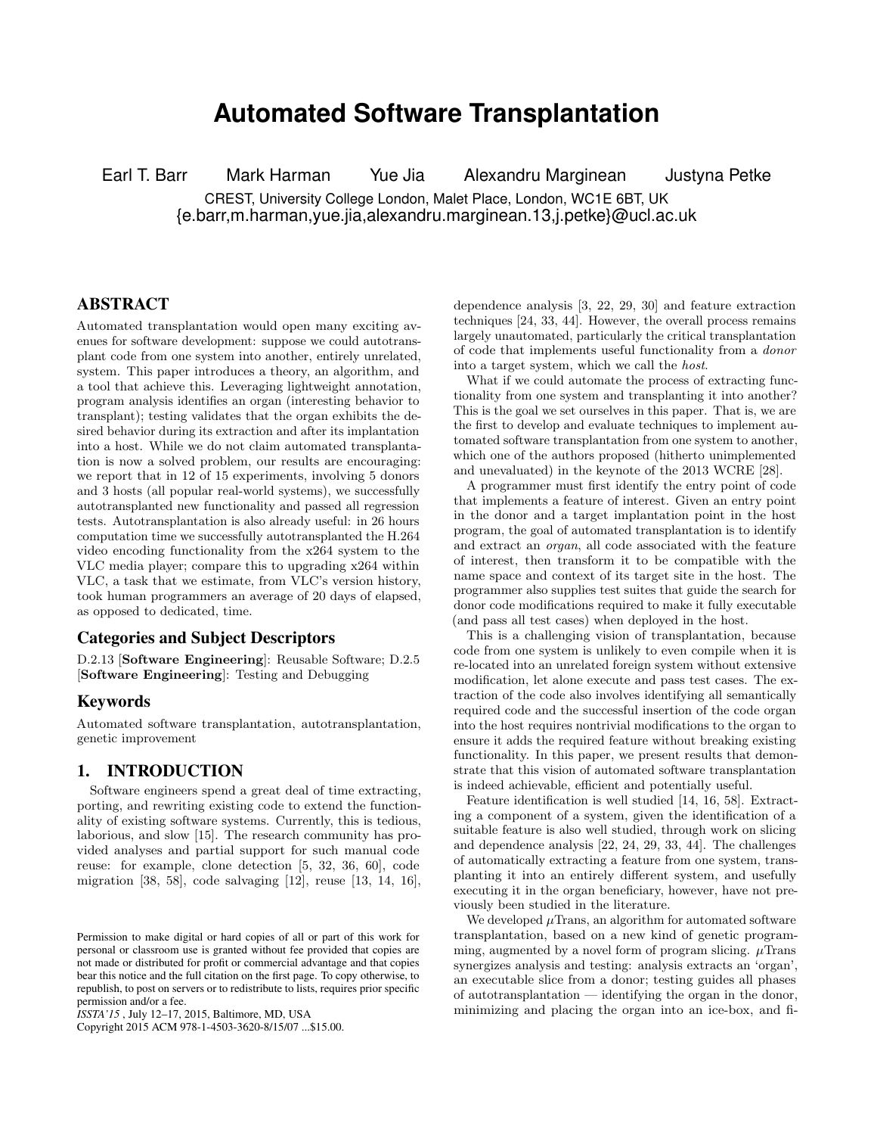# **Automated Software Transplantation**

Earl T. Barr Mark Harman Yue Jia Alexandru Marginean Justyna Petke CREST, University College London, Malet Place, London, WC1E 6BT, UK {e.barr,m.harman,yue.jia,alexandru.marginean.13,j.petke}@ucl.ac.uk

## ABSTRACT

Automated transplantation would open many exciting avenues for software development: suppose we could autotransplant code from one system into another, entirely unrelated, system. This paper introduces a theory, an algorithm, and a tool that achieve this. Leveraging lightweight annotation, program analysis identifies an organ (interesting behavior to transplant); testing validates that the organ exhibits the desired behavior during its extraction and after its implantation into a host. While we do not claim automated transplantation is now a solved problem, our results are encouraging: we report that in 12 of 15 experiments, involving 5 donors and 3 hosts (all popular real-world systems), we successfully autotransplanted new functionality and passed all regression tests. Autotransplantation is also already useful: in 26 hours computation time we successfully autotransplanted the H.264 video encoding functionality from the x264 system to the VLC media player; compare this to upgrading x264 within VLC, a task that we estimate, from VLC's version history, took human programmers an average of 20 days of elapsed, as opposed to dedicated, time.

## Categories and Subject Descriptors

D.2.13 [Software Engineering]: Reusable Software; D.2.5 [Software Engineering]: Testing and Debugging

#### Keywords

Automated software transplantation, autotransplantation, genetic improvement

## 1. INTRODUCTION

Software engineers spend a great deal of time extracting, porting, and rewriting existing code to extend the functionality of existing software systems. Currently, this is tedious, laborious, and slow [\[15\]](#page-10-0). The research community has provided analyses and partial support for such manual code reuse: for example, clone detection [\[5,](#page-10-1) [32,](#page-11-0) [36,](#page-11-1) [60\]](#page-12-0), code migration [\[38,](#page-11-2) [58\]](#page-12-1), code salvaging [\[12\]](#page-10-2), reuse [\[13,](#page-10-3) [14,](#page-10-4) [16\]](#page-10-5),

Copyright 2015 ACM 978-1-4503-3620-8/15/07 ...\$15.00.

dependence analysis [\[3,](#page-10-6) [22,](#page-10-7) [29,](#page-11-3) [30\]](#page-11-4) and feature extraction techniques [\[24,](#page-10-8) [33,](#page-11-5) [44\]](#page-11-6). However, the overall process remains largely unautomated, particularly the critical transplantation of code that implements useful functionality from a donor into a target system, which we call the host.

What if we could automate the process of extracting functionality from one system and transplanting it into another? This is the goal we set ourselves in this paper. That is, we are the first to develop and evaluate techniques to implement automated software transplantation from one system to another, which one of the authors proposed (hitherto unimplemented and unevaluated) in the keynote of the 2013 WCRE [\[28\]](#page-11-7).

A programmer must first identify the entry point of code that implements a feature of interest. Given an entry point in the donor and a target implantation point in the host program, the goal of automated transplantation is to identify and extract an organ, all code associated with the feature of interest, then transform it to be compatible with the name space and context of its target site in the host. The programmer also supplies test suites that guide the search for donor code modifications required to make it fully executable (and pass all test cases) when deployed in the host.

This is a challenging vision of transplantation, because code from one system is unlikely to even compile when it is re-located into an unrelated foreign system without extensive modification, let alone execute and pass test cases. The extraction of the code also involves identifying all semantically required code and the successful insertion of the code organ into the host requires nontrivial modifications to the organ to ensure it adds the required feature without breaking existing functionality. In this paper, we present results that demonstrate that this vision of automated software transplantation is indeed achievable, efficient and potentially useful.

Feature identification is well studied [\[14,](#page-10-4) [16,](#page-10-5) [58\]](#page-12-1). Extracting a component of a system, given the identification of a suitable feature is also well studied, through work on slicing and dependence analysis [\[22,](#page-10-7) [24,](#page-10-8) [29,](#page-11-3) [33,](#page-11-5) [44\]](#page-11-6). The challenges of automatically extracting a feature from one system, transplanting it into an entirely different system, and usefully executing it in the organ beneficiary, however, have not previously been studied in the literature.

We developed  $\mu$ Trans, an algorithm for automated software transplantation, based on a new kind of genetic programming, augmented by a novel form of program slicing.  $\mu$ Trans synergizes analysis and testing: analysis extracts an 'organ', an executable slice from a donor; testing guides all phases of autotransplantation — identifying the organ in the donor, minimizing and placing the organ into an ice-box, and fi-

Permission to make digital or hard copies of all or part of this work for personal or classroom use is granted without fee provided that copies are not made or distributed for profit or commercial advantage and that copies bear this notice and the full citation on the first page. To copy otherwise, to republish, to post on servers or to redistribute to lists, requires prior specific permission and/or a fee.

*ISSTA'15* , July 12–17, 2015, Baltimore, MD, USA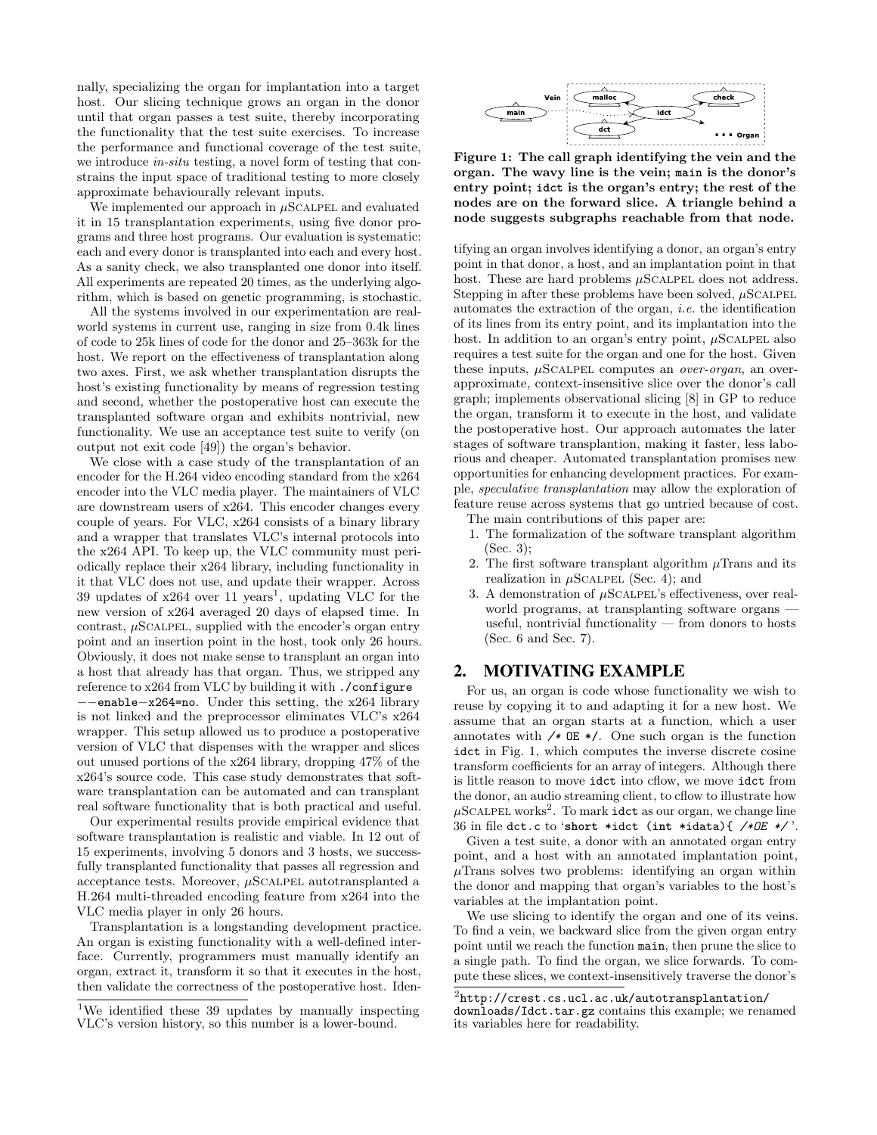nally, specializing the organ for implantation into a target host. Our slicing technique grows an organ in the donor until that organ passes a test suite, thereby incorporating the functionality that the test suite exercises. To increase the performance and functional coverage of the test suite, we introduce *in-situ* testing, a novel form of testing that constrains the input space of traditional testing to more closely approximate behaviourally relevant inputs.

We implemented our approach in  $\mu$ SCALPEL and evaluated it in 15 transplantation experiments, using five donor programs and three host programs. Our evaluation is systematic: each and every donor is transplanted into each and every host. As a sanity check, we also transplanted one donor into itself. All experiments are repeated 20 times, as the underlying algorithm, which is based on genetic programming, is stochastic.

All the systems involved in our experimentation are realworld systems in current use, ranging in size from 0.4k lines of code to 25k lines of code for the donor and 25–363k for the host. We report on the effectiveness of transplantation along two axes. First, we ask whether transplantation disrupts the host's existing functionality by means of regression testing and second, whether the postoperative host can execute the transplanted software organ and exhibits nontrivial, new functionality. We use an acceptance test suite to verify (on output not exit code [\[49\]](#page-11-8)) the organ's behavior.

We close with a case study of the transplantation of an encoder for the H.264 video encoding standard from the x264 encoder into the VLC media player. The maintainers of VLC are downstream users of x264. This encoder changes every couple of years. For VLC, x264 consists of a binary library and a wrapper that translates VLC's internal protocols into the x264 API. To keep up, the VLC community must periodically replace their x264 library, including functionality in it that VLC does not use, and update their wrapper. Across 39 updates of  $x264$  over [1](#page-1-0)1 years<sup>1</sup>, updating VLC for the new version of x264 averaged 20 days of elapsed time. In contrast,  $\mu$ SCALPEL, supplied with the encoder's organ entry point and an insertion point in the host, took only 26 hours. Obviously, it does not make sense to transplant an organ into a host that already has that organ. Thus, we stripped any reference to x264 from VLC by building it with ./configure −−enable−x264=no. Under this setting, the x264 library is not linked and the preprocessor eliminates VLC's x264 wrapper. This setup allowed us to produce a postoperative version of VLC that dispenses with the wrapper and slices out unused portions of the x264 library, dropping 47% of the x264's source code. This case study demonstrates that software transplantation can be automated and can transplant real software functionality that is both practical and useful.

Our experimental results provide empirical evidence that software transplantation is realistic and viable. In 12 out of 15 experiments, involving 5 donors and 3 hosts, we successfully transplanted functionality that passes all regression and acceptance tests. Moreover,  $\mu$ SCALPEL autotransplanted a H.264 multi-threaded encoding feature from x264 into the VLC media player in only 26 hours.

Transplantation is a longstanding development practice. An organ is existing functionality with a well-defined interface. Currently, programmers must manually identify an organ, extract it, transform it so that it executes in the host, then validate the correctness of the postoperative host. Iden-

<span id="page-1-1"></span>

Figure 1: The call graph identifying the vein and the organ. The wavy line is the vein; **main** is the donor's entry point; **idct** is the organ's entry; the rest of the nodes are on the forward slice. A triangle behind a node suggests subgraphs reachable from that node.

tifying an organ involves identifying a donor, an organ's entry point in that donor, a host, and an implantation point in that host. These are hard problems  $\mu$ SCALPEL does not address. Stepping in after these problems have been solved,  $\mu$ SCALPEL automates the extraction of the organ, i.e. the identification of its lines from its entry point, and its implantation into the host. In addition to an organ's entry point,  $\mu$ SCALPEL also requires a test suite for the organ and one for the host. Given these inputs,  $\mu$ SCALPEL computes an *over-organ*, an overapproximate, context-insensitive slice over the donor's call graph; implements observational slicing [\[8\]](#page-10-9) in GP to reduce the organ, transform it to execute in the host, and validate the postoperative host. Our approach automates the later stages of software transplantion, making it faster, less laborious and cheaper. Automated transplantation promises new opportunities for enhancing development practices. For example, speculative transplantation may allow the exploration of feature reuse across systems that go untried because of cost.

The main contributions of this paper are:

- 1. The formalization of the software transplant algorithm [\(Sec. 3\)](#page-2-0);
- 2. The first software transplant algorithm  $\mu$ Trans and its realization in  $\mu$ SCALPEL [\(Sec. 4\)](#page-2-1); and
- 3. A demonstration of  $\mu$ SCALPEL's effectiveness, over realworld programs, at transplanting software organs useful, nontrivial functionality — from donors to hosts [\(Sec. 6](#page-6-0) and [Sec. 7\)](#page-7-0).

#### <span id="page-1-3"></span>2. MOTIVATING EXAMPLE

For us, an organ is code whose functionality we wish to reuse by copying it to and adapting it for a new host. We assume that an organ starts at a function, which a user annotates with */∗* OE ∗/. One such organ is the function idct in [Fig. 1,](#page-1-1) which computes the inverse discrete cosine transform coefficients for an array of integers. Although there is little reason to move idct into cflow, we move idct from the donor, an audio streaming client, to cflow to illustrate how  $\mu$ SCALPEL works<sup>[2](#page-1-2)</sup>. To mark idct as our organ, we change line 36 in file dct.c to '**short** ∗idct (**int** ∗idata){ */∗OE ∗/* '.

Given a test suite, a donor with an annotated organ entry point, and a host with an annotated implantation point,  $\mu$ Trans solves two problems: identifying an organ within the donor and mapping that organ's variables to the host's variables at the implantation point.

We use slicing to identify the organ and one of its veins. To find a vein, we backward slice from the given organ entry point until we reach the function main, then prune the slice to a single path. To find the organ, we slice forwards. To compute these slices, we context-insensitively traverse the donor's

<span id="page-1-0"></span><sup>&</sup>lt;sup>1</sup>We identified these 39 updates by manually inspecting VLC's version history, so this number is a lower-bound.

<span id="page-1-2"></span> $^2$ [http://crest.cs.ucl.ac.uk/autotransplantation/](http://crest.cs.ucl.ac.uk/autotransplantation/downloads/Idct.tar.gz)

[downloads/Idct.tar.gz](http://crest.cs.ucl.ac.uk/autotransplantation/downloads/Idct.tar.gz) contains this example; we renamed its variables here for readability.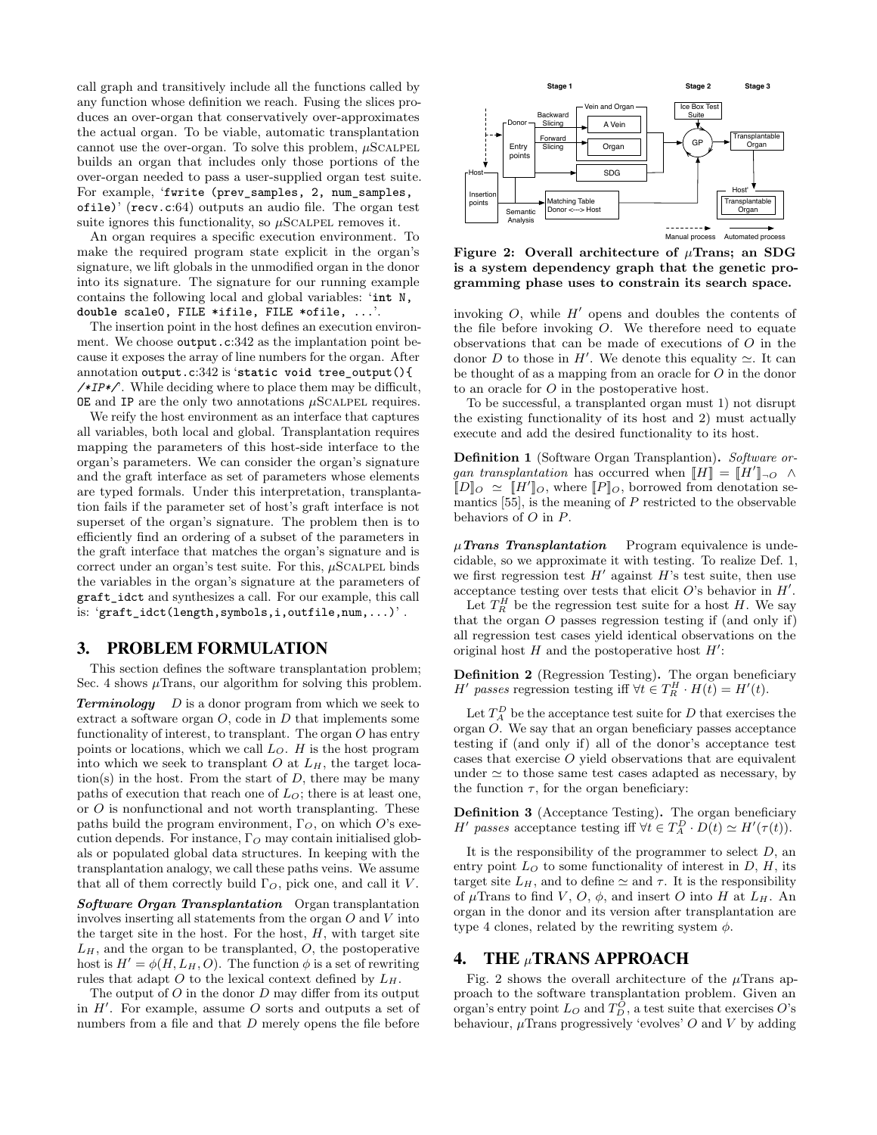call graph and transitively include all the functions called by any function whose definition we reach. Fusing the slices produces an over-organ that conservatively over-approximates the actual organ. To be viable, automatic transplantation cannot use the over-organ. To solve this problem,  $\mu$ SCALPEL builds an organ that includes only those portions of the over-organ needed to pass a user-supplied organ test suite. For example, 'fwrite (prev\_samples, 2, num\_samples, ofile)' (recv.c:64) outputs an audio file. The organ test suite ignores this functionality, so  $\mu$ SCALPEL removes it.

An organ requires a specific execution environment. To make the required program state explicit in the organ's signature, we lift globals in the unmodified organ in the donor into its signature. The signature for our running example contains the following local and global variables: '**int** N, **double** scale0, FILE ∗ifile, FILE ∗ofile, ...'.

The insertion point in the host defines an execution environment. We choose output.c:342 as the implantation point because it exposes the array of line numbers for the organ. After annotation output.c:342 is '**static void** tree\_output(){ */∗IP∗/*'. While deciding where to place them may be difficult,  $OE$  and IP are the only two annotations  $\mu$ SCALPEL requires.

We reify the host environment as an interface that captures all variables, both local and global. Transplantation requires mapping the parameters of this host-side interface to the organ's parameters. We can consider the organ's signature and the graft interface as set of parameters whose elements are typed formals. Under this interpretation, transplantation fails if the parameter set of host's graft interface is not superset of the organ's signature. The problem then is to efficiently find an ordering of a subset of the parameters in the graft interface that matches the organ's signature and is correct under an organ's test suite. For this,  $\mu$ SCALPEL binds the variables in the organ's signature at the parameters of graft\_idct and synthesizes a call. For our example, this call is: 'graft\_idct(length,symbols,i,outfile,num,...)'.

#### <span id="page-2-0"></span>3. PROBLEM FORMULATION

This section defines the software transplantation problem; [Sec. 4](#page-2-1) shows  $\mu$ Trans, our algorithm for solving this problem.

**Terminology**  $D$  is a donor program from which we seek to extract a software organ  $O$ , code in  $D$  that implements some functionality of interest, to transplant. The organ O has entry points or locations, which we call  $L<sub>O</sub>$ . H is the host program into which we seek to transplant  $O$  at  $L_H$ , the target location(s) in the host. From the start of  $D$ , there may be many paths of execution that reach one of  $L<sub>O</sub>$ ; there is at least one, or  $O$  is nonfunctional and not worth transplanting. These paths build the program environment,  $\Gamma_O$ , on which O's execution depends. For instance,  $\Gamma_O$  may contain initialised globals or populated global data structures. In keeping with the transplantation analogy, we call these paths veins. We assume that all of them correctly build  $\Gamma_O$ , pick one, and call it V.

Software Organ Transplantation Organ transplantation involves inserting all statements from the organ O and V into the target site in the host. For the host,  $H$ , with target site  $L_H$ , and the organ to be transplanted,  $O$ , the postoperative host is  $H' = \phi(H, L_H, O)$ . The function  $\phi$  is a set of rewriting rules that adapt O to the lexical context defined by  $L_H$ .

The output of  $O$  in the donor  $D$  may differ from its output in  $H'$ . For example, assume O sorts and outputs a set of numbers from a file and that  $D$  merely opens the file before

<span id="page-2-3"></span>

Figure 2: Overall architecture of  $\mu$ Trans; an SDG is a system dependency graph that the genetic programming phase uses to constrain its search space.

invoking  $O$ , while  $H'$  opens and doubles the contents of the file before invoking O. We therefore need to equate observations that can be made of executions of O in the donor D to those in H'. We denote this equality  $\simeq$ . It can be thought of as a mapping from an oracle for O in the donor to an oracle for O in the postoperative host.

To be successful, a transplanted organ must 1) not disrupt the existing functionality of its host and 2) must actually execute and add the desired functionality to its host.

<span id="page-2-2"></span>Definition 1 (Software Organ Transplantion). Software organ transplantation has occurred when  $[[H]] = [[H']]_{\neg O} \land$  $[D]_O \simeq [H']_O$ , where  $[P]_O$ , borrowed from denotation semantics  $[55]$ , is the meaning of  $P$  restricted to the observable behaviors of O in P.

 $\mu$ Trans Transplantation Program equivalence is undecidable, so we approximate it with testing. To realize [Def. 1,](#page-2-2) we first regression test  $H'$  against  $H$ 's test suite, then use acceptance testing over tests that elicit  $O$ 's behavior in  $H'$ .

Let  $T_R^H$  be the regression test suite for a host H. We say that the organ O passes regression testing if (and only if) all regression test cases yield identical observations on the original host  $H$  and the postoperative host  $H'$ :

Definition 2 (Regression Testing). The organ beneficiary *H'* passes regression testing iff  $\forall t \in T_R^H \cdot H(t) = H'(t)$ .

Let  $T_A^D$  be the acceptance test suite for D that exercises the organ O. We say that an organ beneficiary passes acceptance testing if (and only if) all of the donor's acceptance test cases that exercise O yield observations that are equivalent under  $\simeq$  to those same test cases adapted as necessary, by the function  $\tau$ , for the organ beneficiary:

<span id="page-2-4"></span>Definition 3 (Acceptance Testing). The organ beneficiary H' passes acceptance testing iff  $\forall t \in T_A^D \cdot D(t) \simeq H'(\tau(t)).$ 

It is the responsibility of the programmer to select  $D$ , an entry point  $L<sub>O</sub>$  to some functionality of interest in  $D$ ,  $H$ , its target site  $L_H$ , and to define  $\simeq$  and  $\tau$ . It is the responsibility of  $\mu$ Trans to find V, O,  $\phi$ , and insert O into H at  $L_H$ . An organ in the donor and its version after transplantation are type 4 clones, related by the rewriting system  $\phi$ .

#### <span id="page-2-1"></span>4. THE µTRANS APPROACH

[Fig. 2](#page-2-3) shows the overall architecture of the  $\mu$ Trans approach to the software transplantation problem. Given an organ's entry point  $L_O$  and  $T_D^O$ , a test suite that exercises O's behaviour,  $\mu$ Trans progressively 'evolves' O and V by adding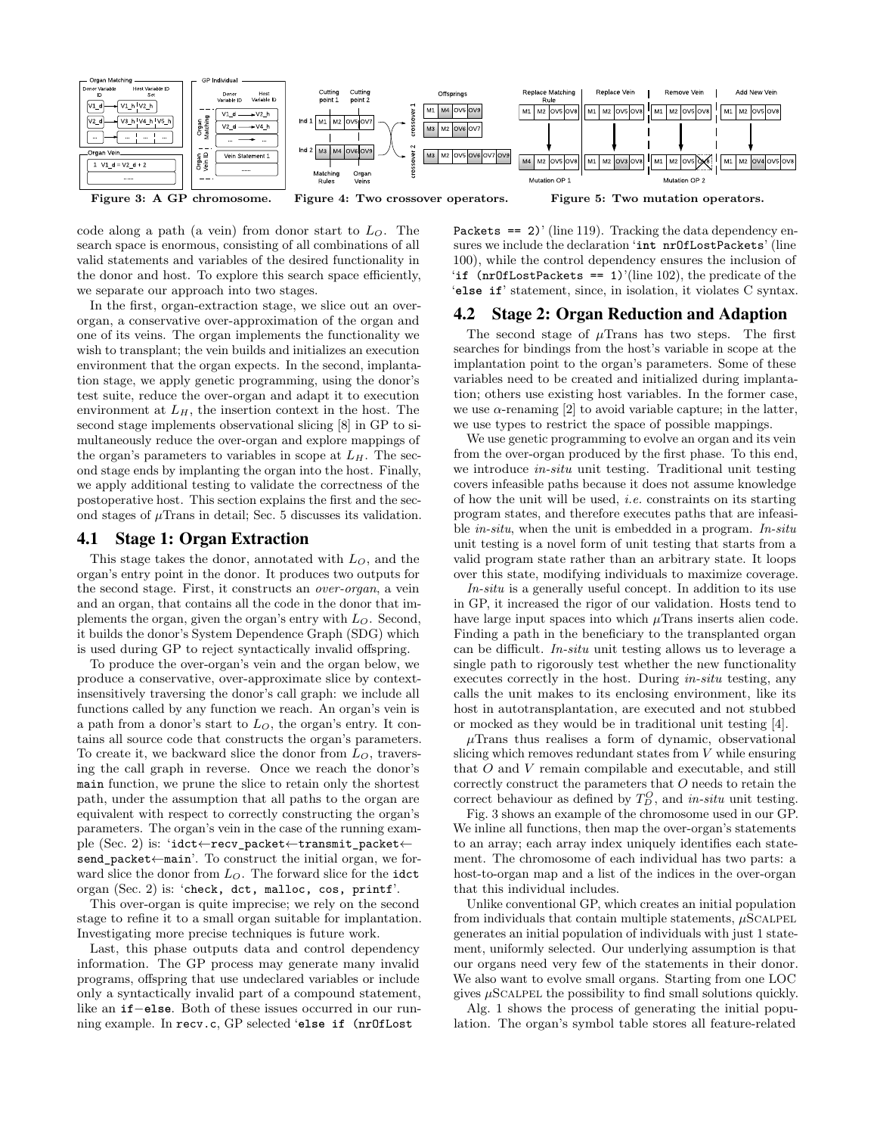<span id="page-3-0"></span>

code along a path (a vein) from donor start to  $L<sub>O</sub>$ . The search space is enormous, consisting of all combinations of all valid statements and variables of the desired functionality in the donor and host. To explore this search space efficiently, we separate our approach into two stages.

In the first, organ-extraction stage, we slice out an overorgan, a conservative over-approximation of the organ and one of its veins. The organ implements the functionality we wish to transplant; the vein builds and initializes an execution environment that the organ expects. In the second, implantation stage, we apply genetic programming, using the donor's test suite, reduce the over-organ and adapt it to execution environment at  $L_H$ , the insertion context in the host. The second stage implements observational slicing [\[8\]](#page-10-9) in GP to simultaneously reduce the over-organ and explore mappings of the organ's parameters to variables in scope at  $L_H$ . The second stage ends by implanting the organ into the host. Finally, we apply additional testing to validate the correctness of the postoperative host. This section explains the first and the second stages of  $\mu$ Trans in detail; [Sec. 5](#page-4-0) discusses its validation.

#### 4.1 Stage 1: Organ Extraction

This stage takes the donor, annotated with  $L<sub>O</sub>$ , and the organ's entry point in the donor. It produces two outputs for the second stage. First, it constructs an over-organ, a vein and an organ, that contains all the code in the donor that implements the organ, given the organ's entry with  $L<sub>O</sub>$ . Second, it builds the donor's System Dependence Graph (SDG) which is used during GP to reject syntactically invalid offspring.

To produce the over-organ's vein and the organ below, we produce a conservative, over-approximate slice by contextinsensitively traversing the donor's call graph: we include all functions called by any function we reach. An organ's vein is a path from a donor's start to  $L<sub>O</sub>$ , the organ's entry. It contains all source code that constructs the organ's parameters. To create it, we backward slice the donor from  $L<sub>O</sub>$ , traversing the call graph in reverse. Once we reach the donor's main function, we prune the slice to retain only the shortest path, under the assumption that all paths to the organ are equivalent with respect to correctly constructing the organ's parameters. The organ's vein in the case of the running example [\(Sec. 2\)](#page-1-3) is: 'idct←recv\_packet←transmit\_packet← send\_packet←main'. To construct the initial organ, we forward slice the donor from  $L<sub>O</sub>$ . The forward slice for the idct organ [\(Sec. 2\)](#page-1-3) is: 'check, dct, malloc, cos, printf'.

This over-organ is quite imprecise; we rely on the second stage to refine it to a small organ suitable for implantation. Investigating more precise techniques is future work.

Last, this phase outputs data and control dependency information. The GP process may generate many invalid programs, offspring that use undeclared variables or include only a syntactically invalid part of a compound statement, like an **if**−**else**. Both of these issues occurred in our running example. In recv.c, GP selected '**else if** (nrOfLost

Packets  $==$  2)' (line 119). Tracking the data dependency ensures we include the declaration '**int** nrOfLostPackets' (line 100), while the control dependency ensures the inclusion of '**if** (nrOfLostPackets == 1)'(line 102), the predicate of the '**else if**' statement, since, in isolation, it violates C syntax.

#### 4.2 Stage 2: Organ Reduction and Adaption

The second stage of  $\mu$ Trans has two steps. The first searches for bindings from the host's variable in scope at the implantation point to the organ's parameters. Some of these variables need to be created and initialized during implantation; others use existing host variables. In the former case, we use  $\alpha$ -renaming [\[2\]](#page-10-10) to avoid variable capture; in the latter, we use types to restrict the space of possible mappings.

We use genetic programming to evolve an organ and its vein from the over-organ produced by the first phase. To this end, we introduce in-situ unit testing. Traditional unit testing covers infeasible paths because it does not assume knowledge of how the unit will be used, i.e. constraints on its starting program states, and therefore executes paths that are infeasible in-situ, when the unit is embedded in a program. In-situ unit testing is a novel form of unit testing that starts from a valid program state rather than an arbitrary state. It loops over this state, modifying individuals to maximize coverage.

In-situ is a generally useful concept. In addition to its use in GP, it increased the rigor of our validation. Hosts tend to have large input spaces into which  $\mu$ Trans inserts alien code. Finding a path in the beneficiary to the transplanted organ can be difficult. In-situ unit testing allows us to leverage a single path to rigorously test whether the new functionality executes correctly in the host. During in-situ testing, any calls the unit makes to its enclosing environment, like its host in autotransplantation, are executed and not stubbed or mocked as they would be in traditional unit testing [\[4\]](#page-10-11).

 $\mu$ Trans thus realises a form of dynamic, observational slicing which removes redundant states from V while ensuring that O and V remain compilable and executable, and still correctly construct the parameters that  $O$  needs to retain the correct behaviour as defined by  $T_D^O$ , and *in-situ* unit testing.

[Fig. 3](#page-3-0) shows an example of the chromosome used in our GP. We inline all functions, then map the over-organ's statements to an array; each array index uniquely identifies each statement. The chromosome of each individual has two parts: a host-to-organ map and a list of the indices in the over-organ that this individual includes.

Unlike conventional GP, which creates an initial population from individuals that contain multiple statements,  $\mu$ SCALPEL generates an initial population of individuals with just 1 statement, uniformly selected. Our underlying assumption is that our organs need very few of the statements in their donor. We also want to evolve small organs. Starting from one LOC gives  $\mu$ SCALPEL the possibility to find small solutions quickly.

[Alg. 1](#page-4-1) shows the process of generating the initial population. The organ's symbol table stores all feature-related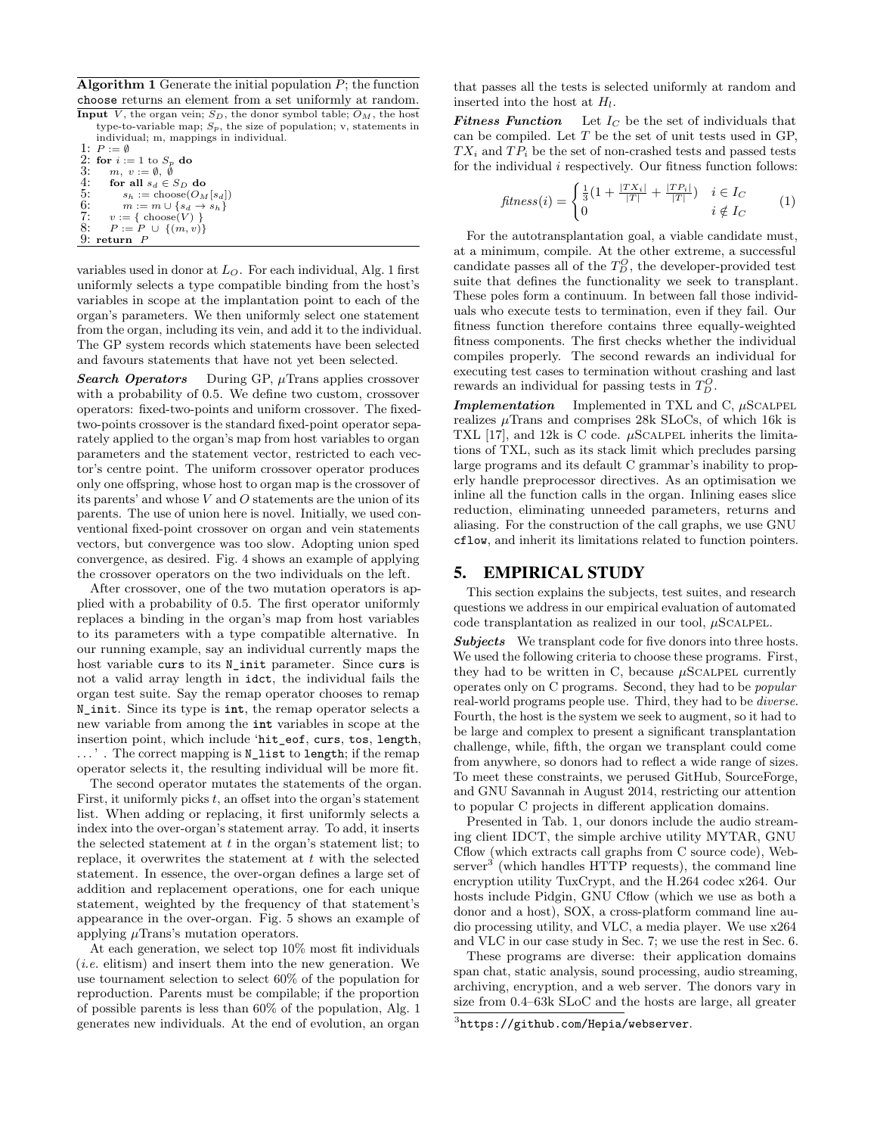<span id="page-4-1"></span>**Algorithm 1** Generate the initial population  $P$ ; the function choose returns an element from a set uniformly at random.

Input  $\overline{V}$ , the organ vein;  $S_D$ , the donor symbol table;  $O_M$ , the host type-to-variable map;  $S_p$ , the size of population; v, statements in individual; m, mappings in individual.

1:  $P := \emptyset$ 2: for  $i := 1$  to  $S_p$  do<br>3:  $m, v := \emptyset, \emptyset$ 4: for all  $s_d \in S_D$  do<br>5:  $s_b := \text{choose} O_M$ 5:  $s_h := \text{choose}(O_M[s_d])$ <br>
6:  $m := m \cup \{s_d \to s_h\}$ <br>
7:  $v := \{ \text{choose}(V) \}$ 6:  $m := m \cup \{s_d \to s_h\}$ <br>7:  $v := \{ \text{ choose}(V) \}$ 8:  $P := P \cup \{(m, v)\}$  $9:$  return  $P$ 

variables used in donor at  $L<sub>O</sub>$ . For each individual, [Alg. 1](#page-4-1) first uniformly selects a type compatible binding from the host's variables in scope at the implantation point to each of the organ's parameters. We then uniformly select one statement from the organ, including its vein, and add it to the individual. The GP system records which statements have been selected and favours statements that have not yet been selected.

**Search Operators** During GP,  $\mu$ Trans applies crossover with a probability of 0.5. We define two custom, crossover operators: fixed-two-points and uniform crossover. The fixedtwo-points crossover is the standard fixed-point operator separately applied to the organ's map from host variables to organ parameters and the statement vector, restricted to each vector's centre point. The uniform crossover operator produces only one offspring, whose host to organ map is the crossover of its parents' and whose  $V$  and  $O$  statements are the union of its parents. The use of union here is novel. Initially, we used conventional fixed-point crossover on organ and vein statements vectors, but convergence was too slow. Adopting union sped convergence, as desired. [Fig. 4](#page-3-0) shows an example of applying the crossover operators on the two individuals on the left.

After crossover, one of the two mutation operators is applied with a probability of 0.5. The first operator uniformly replaces a binding in the organ's map from host variables to its parameters with a type compatible alternative. In our running example, say an individual currently maps the host variable curs to its N\_init parameter. Since curs is not a valid array length in idct, the individual fails the organ test suite. Say the remap operator chooses to remap N\_init. Since its type is **int**, the remap operator selects a new variable from among the **int** variables in scope at the insertion point, which include 'hit\_eof, curs, tos, length, . . . ' . The correct mapping is N\_list to length; if the remap operator selects it, the resulting individual will be more fit.

The second operator mutates the statements of the organ. First, it uniformly picks  $t$ , an offset into the organ's statement list. When adding or replacing, it first uniformly selects a index into the over-organ's statement array. To add, it inserts the selected statement at  $t$  in the organ's statement list; to replace, it overwrites the statement at  $t$  with the selected statement. In essence, the over-organ defines a large set of addition and replacement operations, one for each unique statement, weighted by the frequency of that statement's appearance in the over-organ. [Fig. 5](#page-3-0) shows an example of applying  $\mu$ Trans's mutation operators.

At each generation, we select top 10% most fit individuals (i.e. elitism) and insert them into the new generation. We use tournament selection to select 60% of the population for reproduction. Parents must be compilable; if the proportion of possible parents is less than 60% of the population, [Alg. 1](#page-4-1) generates new individuals. At the end of evolution, an organ

that passes all the tests is selected uniformly at random and inserted into the host at  $H_l$ .

**Fitness Function** Let  $I_C$  be the set of individuals that can be compiled. Let  $T$  be the set of unit tests used in GP,  $TX_i$  and  $TP_i$  be the set of non-crashed tests and passed tests for the individual  $i$  respectively. Our fitness function follows:

$$
fitness(i) = \begin{cases} \frac{1}{3}(1 + \frac{|TX_i|}{|T|} + \frac{|TP_i|}{|T|}) & i \in I_C \\ 0 & i \notin I_C \end{cases}
$$
 (1)

For the autotransplantation goal, a viable candidate must, at a minimum, compile. At the other extreme, a successful candidate passes all of the  $T_D^O$ , the developer-provided test suite that defines the functionality we seek to transplant. These poles form a continuum. In between fall those individuals who execute tests to termination, even if they fail. Our fitness function therefore contains three equally-weighted fitness components. The first checks whether the individual compiles properly. The second rewards an individual for executing test cases to termination without crashing and last rewards an individual for passing tests in  $T_D^O$ .

**Implementation** Implemented in TXL and C,  $\mu$ SCALPEL realizes  $\mu$ Trans and comprises 28k SLoCs, of which 16k is TXL [\[17\]](#page-10-12), and 12k is C code.  $\mu$ SCALPEL inherits the limitations of TXL, such as its stack limit which precludes parsing large programs and its default C grammar's inability to properly handle preprocessor directives. As an optimisation we inline all the function calls in the organ. Inlining eases slice reduction, eliminating unneeded parameters, returns and aliasing. For the construction of the call graphs, we use GNU cflow, and inherit its limitations related to function pointers.

#### <span id="page-4-0"></span>5. EMPIRICAL STUDY

This section explains the subjects, test suites, and research questions we address in our empirical evaluation of automated code transplantation as realized in our tool,  $\mu$ SCALPEL.

Subjects We transplant code for five donors into three hosts. We used the following criteria to choose these programs. First, they had to be written in C, because  $\mu$ SCALPEL currently operates only on C programs. Second, they had to be popular real-world programs people use. Third, they had to be diverse. Fourth, the host is the system we seek to augment, so it had to be large and complex to present a significant transplantation challenge, while, fifth, the organ we transplant could come from anywhere, so donors had to reflect a wide range of sizes. To meet these constraints, we perused GitHub, SourceForge, and GNU Savannah in August 2014, restricting our attention to popular C projects in different application domains.

Presented in [Tab. 1,](#page-5-0) our donors include the audio streaming client IDCT, the simple archive utility MYTAR, GNU Cflow (which extracts call graphs from C source code), Web- $\text{server}^3$  $\text{server}^3$  (which handles HTTP requests), the command line encryption utility TuxCrypt, and the H.264 codec x264. Our hosts include Pidgin, GNU Cflow (which we use as both a donor and a host), SOX, a cross-platform command line audio processing utility, and VLC, a media player. We use x264 and VLC in our case study in [Sec. 7;](#page-7-0) we use the rest in [Sec. 6.](#page-6-0)

These programs are diverse: their application domains span chat, static analysis, sound processing, audio streaming, archiving, encryption, and a web server. The donors vary in size from 0.4–63k SLoC and the hosts are large, all greater

<span id="page-4-2"></span> $^3$ <https://github.com/Hepia/webserver>.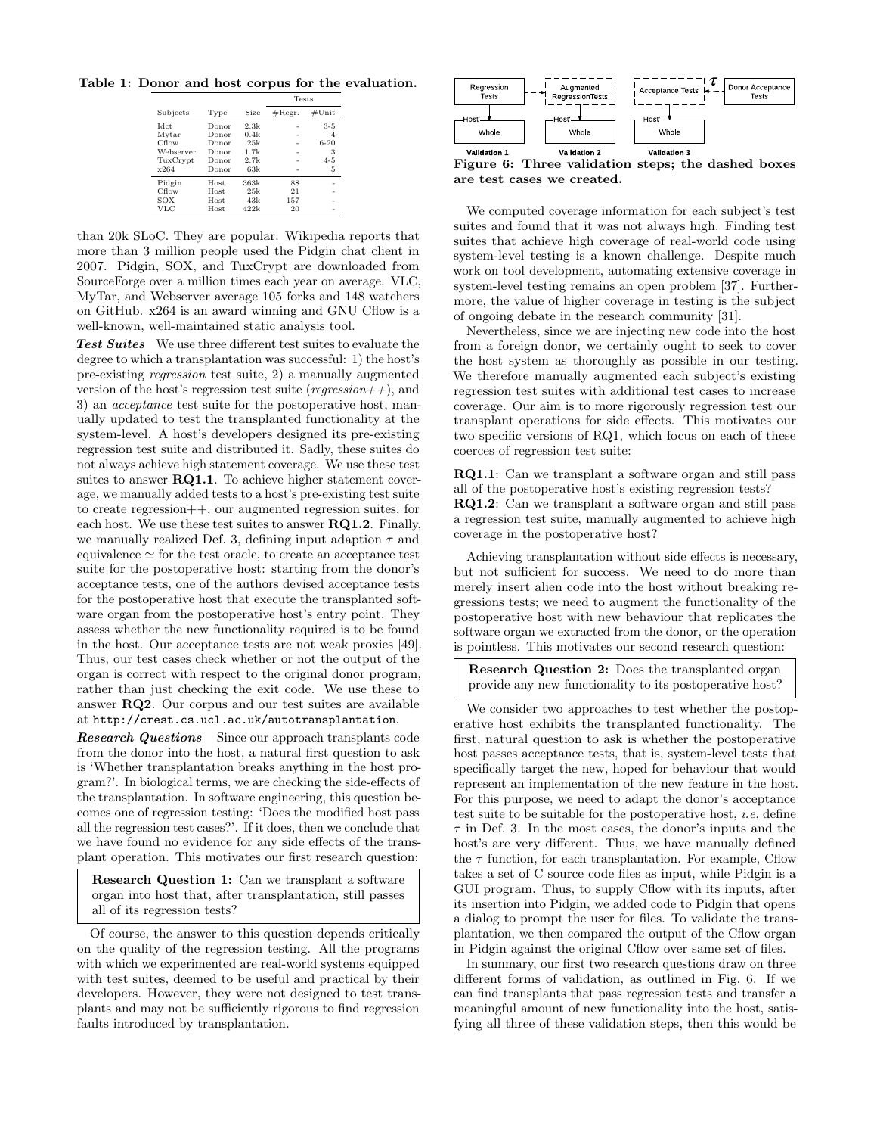<span id="page-5-0"></span>Table 1: Donor and host corpus for the evaluation.

|             |             |             | <b>Tests</b>     |          |  |
|-------------|-------------|-------------|------------------|----------|--|
| Subjects    | Type        | <b>Size</b> | $\#\text{Regr.}$ | #Unit    |  |
| <b>Idct</b> | Donor       | 2.3k        |                  | $3 - 5$  |  |
| Mytar       | Donor       | 0.4k        |                  | 4        |  |
| Cflow       | Donor       | 25k         |                  | $6 - 20$ |  |
| Webserver   | Donor       | 1.7k        |                  | 3        |  |
| TuxCrypt    | Donor       | 2.7k        |                  | $4 - 5$  |  |
| x264        | Donor       | 63k         |                  | 5        |  |
| Pidgin      | <b>Host</b> | 363k        | 88               |          |  |
| Cflow       | <b>Host</b> | 25k         | 21               |          |  |
| SOX         | Host.       | 43k         | 157              |          |  |
| VLC         | <b>Host</b> | 422k        | 20               |          |  |

than 20k SLoC. They are popular: Wikipedia reports that more than 3 million people used the Pidgin chat client in 2007. Pidgin, SOX, and TuxCrypt are downloaded from SourceForge over a million times each year on average. VLC, MyTar, and Webserver average 105 forks and 148 watchers on GitHub. x264 is an award winning and GNU Cflow is a well-known, well-maintained static analysis tool.

Test Suites We use three different test suites to evaluate the degree to which a transplantation was successful: 1) the host's pre-existing regression test suite, 2) a manually augmented version of the host's regression test suite (regression++), and 3) an acceptance test suite for the postoperative host, manually updated to test the transplanted functionality at the system-level. A host's developers designed its pre-existing regression test suite and distributed it. Sadly, these suites do not always achieve high statement coverage. We use these test suites to answer RQ1.1. To achieve higher statement coverage, we manually added tests to a host's pre-existing test suite to create regression++, our augmented regression suites, for each host. We use these test suites to answer  $\mathbf{RQ1.2}$ . Finally, we manually realized [Def. 3,](#page-2-4) defining input adaption  $\tau$  and equivalence  $\simeq$  for the test oracle, to create an acceptance test suite for the postoperative host: starting from the donor's acceptance tests, one of the authors devised acceptance tests for the postoperative host that execute the transplanted software organ from the postoperative host's entry point. They assess whether the new functionality required is to be found in the host. Our acceptance tests are not weak proxies [\[49\]](#page-11-8). Thus, our test cases check whether or not the output of the organ is correct with respect to the original donor program, rather than just checking the exit code. We use these to answer RQ2. Our corpus and our test suites are available at <http://crest.cs.ucl.ac.uk/autotransplantation>.

**Research Questions** Since our approach transplants code from the donor into the host, a natural first question to ask is 'Whether transplantation breaks anything in the host program?'. In biological terms, we are checking the side-effects of the transplantation. In software engineering, this question becomes one of regression testing: 'Does the modified host pass all the regression test cases?'. If it does, then we conclude that we have found no evidence for any side effects of the transplant operation. This motivates our first research question:

Research Question 1: Can we transplant a software organ into host that, after transplantation, still passes all of its regression tests?

Of course, the answer to this question depends critically on the quality of the regression testing. All the programs with which we experimented are real-world systems equipped with test suites, deemed to be useful and practical by their developers. However, they were not designed to test transplants and may not be sufficiently rigorous to find regression faults introduced by transplantation.

<span id="page-5-1"></span>

Figure 6: Three validation steps; the dashed boxes are test cases we created.

We computed coverage information for each subject's test suites and found that it was not always high. Finding test suites that achieve high coverage of real-world code using system-level testing is a known challenge. Despite much work on tool development, automating extensive coverage in system-level testing remains an open problem [\[37\]](#page-11-9). Furthermore, the value of higher coverage in testing is the subject of ongoing debate in the research community [\[31\]](#page-11-10).

Nevertheless, since we are injecting new code into the host from a foreign donor, we certainly ought to seek to cover the host system as thoroughly as possible in our testing. We therefore manually augmented each subject's existing regression test suites with additional test cases to increase coverage. Our aim is to more rigorously regression test our transplant operations for side effects. This motivates our two specific versions of RQ1, which focus on each of these coerces of regression test suite:

RQ1.1: Can we transplant a software organ and still pass all of the postoperative host's existing regression tests?

RQ1.2: Can we transplant a software organ and still pass a regression test suite, manually augmented to achieve high coverage in the postoperative host?

Achieving transplantation without side effects is necessary, but not sufficient for success. We need to do more than merely insert alien code into the host without breaking regressions tests; we need to augment the functionality of the postoperative host with new behaviour that replicates the software organ we extracted from the donor, or the operation is pointless. This motivates our second research question:

Research Question 2: Does the transplanted organ provide any new functionality to its postoperative host?

We consider two approaches to test whether the postoperative host exhibits the transplanted functionality. The first, natural question to ask is whether the postoperative host passes acceptance tests, that is, system-level tests that specifically target the new, hoped for behaviour that would represent an implementation of the new feature in the host. For this purpose, we need to adapt the donor's acceptance test suite to be suitable for the postoperative host, i.e. define  $\tau$  in [Def. 3.](#page-2-4) In the most cases, the donor's inputs and the host's are very different. Thus, we have manually defined the  $\tau$  function, for each transplantation. For example, Cflow takes a set of C source code files as input, while Pidgin is a GUI program. Thus, to supply Cflow with its inputs, after its insertion into Pidgin, we added code to Pidgin that opens a dialog to prompt the user for files. To validate the transplantation, we then compared the output of the Cflow organ in Pidgin against the original Cflow over same set of files.

In summary, our first two research questions draw on three different forms of validation, as outlined in [Fig. 6.](#page-5-1) If we can find transplants that pass regression tests and transfer a meaningful amount of new functionality into the host, satisfying all three of these validation steps, then this would be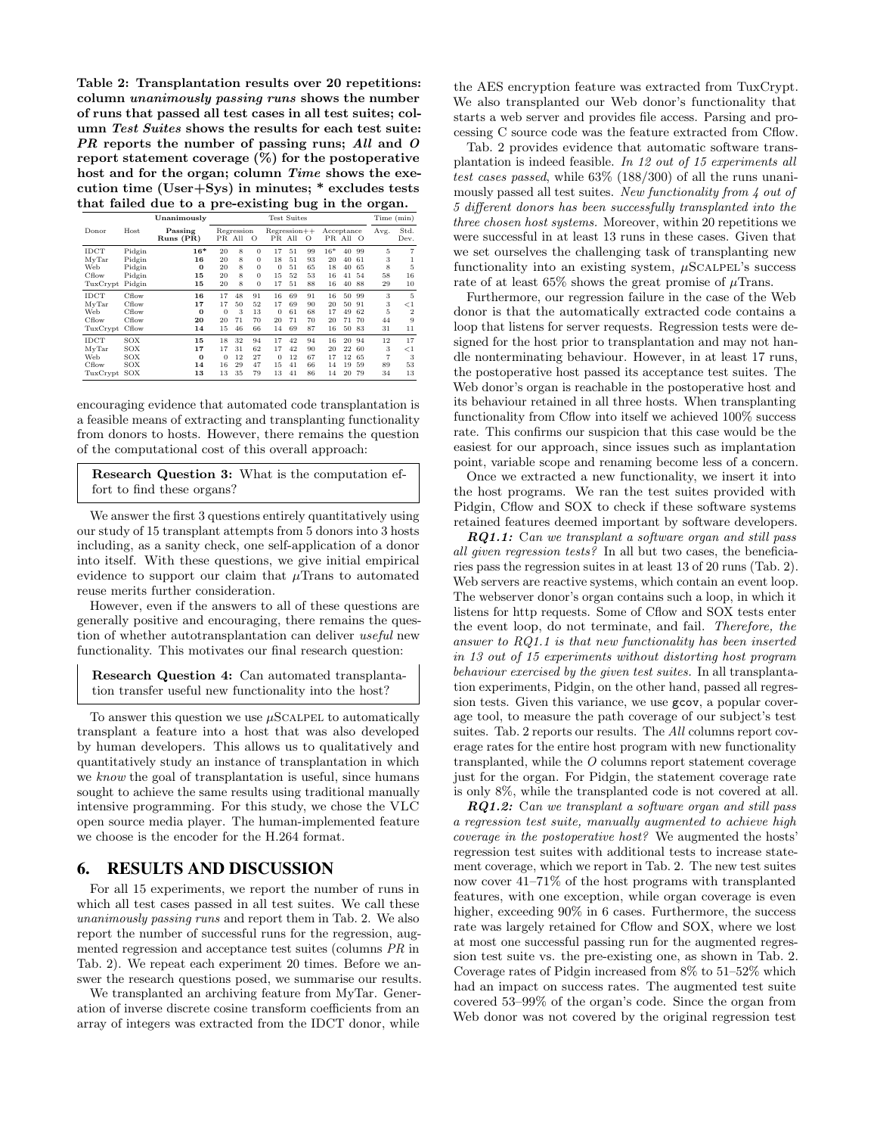<span id="page-6-1"></span>Table 2: Transplantation results over 20 repetitions: column unanimously passing runs shows the number of runs that passed all test cases in all test suites; column Test Suites shows the results for each test suite: PR reports the number of passing runs; All and O report statement coverage (%) for the postoperative host and for the organ; column Time shows the execution time (User+Sys) in minutes; \* excludes tests that failed due to a pre-existing bug in the organ.

|                                           |                                                | Unanimously                         | <b>Test Suites</b>               |                            |                                                          |                                      |                            |                            |                               | Time (min)                 |                            |                          |                                          |
|-------------------------------------------|------------------------------------------------|-------------------------------------|----------------------------------|----------------------------|----------------------------------------------------------|--------------------------------------|----------------------------|----------------------------|-------------------------------|----------------------------|----------------------------|--------------------------|------------------------------------------|
| Donor                                     | Host                                           | Passing<br>$Runs$ $(PR)$            |                                  | Regression<br>PR All       | $\circ$                                                  | $Regression++$                       | PR All                     | $\circ$                    | Acceptance                    | PR All                     | $\circ$                    | Avg.                     | Std.<br>Dev.                             |
| IDCT<br>MyTar<br>Web<br>Cflow<br>TuxCrypt | Pidgin<br>Pidgin<br>Pidgin<br>Pidgin<br>Pidgin | $16*$<br>16<br>$\Omega$<br>15<br>15 | 20<br>20<br>20<br>20<br>20       | 8<br>8<br>8<br>8<br>8      | $\Omega$<br>$\Omega$<br>$\Omega$<br>$\Omega$<br>$\Omega$ | 17<br>18<br>$\mathbf{0}$<br>15<br>17 | 51<br>51<br>51<br>52<br>51 | 99<br>93<br>65<br>53<br>88 | $16*$<br>20<br>18<br>16<br>16 | 40<br>40<br>40<br>41<br>40 | 99<br>61<br>65<br>54<br>88 | 5<br>3<br>8<br>58<br>29  | 5<br>16<br>10                            |
| IDCT<br>MyTar<br>Web<br>Cflow<br>TuxCrypt | Cflow<br>Cflow<br>Cflow<br>Cflow<br>Cflow      | 16<br>17<br>$\bf{0}$<br>20<br>14    | 17<br>17<br>$\theta$<br>20<br>15 | 48<br>50<br>3<br>71<br>46  | 91<br>52<br>13<br>70<br>66                               | 16<br>17<br>$\theta$<br>20<br>14     | 69<br>69<br>61<br>71<br>69 | 91<br>90<br>68<br>70<br>87 | 16<br>20<br>17<br>20<br>16    | 50<br>50<br>49<br>71<br>50 | 99<br>91<br>62<br>70<br>83 | 3<br>3<br>5<br>44<br>31  | 5<br>$\lt1$<br>$\overline{2}$<br>9<br>11 |
| IDCT<br>MvTar<br>Web<br>Cflow<br>TuxCrypt | SOX<br>SOX<br>SOX<br>SOX<br>SOX                | 15<br>17<br>$\Omega$<br>14<br>13    | 18<br>17<br>$\Omega$<br>16<br>13 | 32<br>31<br>12<br>29<br>35 | 94<br>62<br>27<br>47<br>79                               | 17<br>17<br>$\Omega$<br>15<br>13     | 42<br>42<br>12<br>41<br>41 | 94<br>90<br>67<br>66<br>86 | 16<br>20<br>17<br>14<br>14    | 20<br>22<br>12<br>19<br>20 | 94<br>60<br>65<br>59<br>79 | 12<br>3<br>7<br>89<br>34 | 17<br>$\lt 1$<br>3<br>53<br>13           |

encouraging evidence that automated code transplantation is a feasible means of extracting and transplanting functionality from donors to hosts. However, there remains the question of the computational cost of this overall approach:

Research Question 3: What is the computation effort to find these organs?

We answer the first 3 questions entirely quantitatively using our study of 15 transplant attempts from 5 donors into 3 hosts including, as a sanity check, one self-application of a donor into itself. With these questions, we give initial empirical evidence to support our claim that  $\mu$ Trans to automated reuse merits further consideration.

However, even if the answers to all of these questions are generally positive and encouraging, there remains the question of whether autotransplantation can deliver useful new functionality. This motivates our final research question:

Research Question 4: Can automated transplantation transfer useful new functionality into the host?

To answer this question we use  $\mu$ SCALPEL to automatically transplant a feature into a host that was also developed by human developers. This allows us to qualitatively and quantitatively study an instance of transplantation in which we know the goal of transplantation is useful, since humans sought to achieve the same results using traditional manually intensive programming. For this study, we chose the VLC open source media player. The human-implemented feature we choose is the encoder for the H.264 format.

#### <span id="page-6-0"></span>6. RESULTS AND DISCUSSION

For all 15 experiments, we report the number of runs in which all test cases passed in all test suites. We call these unanimously passing runs and report them in [Tab. 2.](#page-6-1) We also report the number of successful runs for the regression, augmented regression and acceptance test suites (columns PR in [Tab. 2\)](#page-6-1). We repeat each experiment 20 times. Before we answer the research questions posed, we summarise our results.

We transplanted an archiving feature from MyTar. Generation of inverse discrete cosine transform coefficients from an array of integers was extracted from the IDCT donor, while

the AES encryption feature was extracted from TuxCrypt. We also transplanted our Web donor's functionality that starts a web server and provides file access. Parsing and processing C source code was the feature extracted from Cflow.

[Tab. 2](#page-6-1) provides evidence that automatic software transplantation is indeed feasible. In 12 out of 15 experiments all test cases passed, while 63% (188/300) of all the runs unanimously passed all test suites. New functionality from 4 out of 5 different donors has been successfully transplanted into the three chosen host systems. Moreover, within 20 repetitions we were successful in at least 13 runs in these cases. Given that we set ourselves the challenging task of transplanting new functionality into an existing system,  $\mu$ SCALPEL's success rate of at least 65% shows the great promise of  $\mu$ Trans.

Furthermore, our regression failure in the case of the Web donor is that the automatically extracted code contains a loop that listens for server requests. Regression tests were designed for the host prior to transplantation and may not handle nonterminating behaviour. However, in at least 17 runs, the postoperative host passed its acceptance test suites. The Web donor's organ is reachable in the postoperative host and its behaviour retained in all three hosts. When transplanting functionality from Cflow into itself we achieved 100% success rate. This confirms our suspicion that this case would be the easiest for our approach, since issues such as implantation point, variable scope and renaming become less of a concern.

Once we extracted a new functionality, we insert it into the host programs. We ran the test suites provided with Pidgin, Cflow and SOX to check if these software systems retained features deemed important by software developers.

 $RQ1.1:$  Can we transplant a software organ and still pass all given regression tests? In all but two cases, the beneficiaries pass the regression suites in at least 13 of 20 runs [\(Tab. 2\)](#page-6-1). Web servers are reactive systems, which contain an event loop. The webserver donor's organ contains such a loop, in which it listens for http requests. Some of Cflow and SOX tests enter the event loop, do not terminate, and fail. Therefore, the answer to RQ1.1 is that new functionality has been inserted in 13 out of 15 experiments without distorting host program behaviour exercised by the given test suites. In all transplantation experiments, Pidgin, on the other hand, passed all regression tests. Given this variance, we use gcov, a popular coverage tool, to measure the path coverage of our subject's test suites. [Tab. 2](#page-6-1) reports our results. The All columns report coverage rates for the entire host program with new functionality transplanted, while the O columns report statement coverage just for the organ. For Pidgin, the statement coverage rate is only 8%, while the transplanted code is not covered at all.

RQ1.2: Can we transplant a software organ and still pass a regression test suite, manually augmented to achieve high coverage in the postoperative host? We augmented the hosts' regression test suites with additional tests to increase statement coverage, which we report in [Tab. 2.](#page-6-1) The new test suites now cover 41–71% of the host programs with transplanted features, with one exception, while organ coverage is even higher, exceeding  $90\%$  in 6 cases. Furthermore, the success rate was largely retained for Cflow and SOX, where we lost at most one successful passing run for the augmented regression test suite vs. the pre-existing one, as shown in [Tab. 2.](#page-6-1) Coverage rates of Pidgin increased from 8% to 51–52% which had an impact on success rates. The augmented test suite covered 53–99% of the organ's code. Since the organ from Web donor was not covered by the original regression test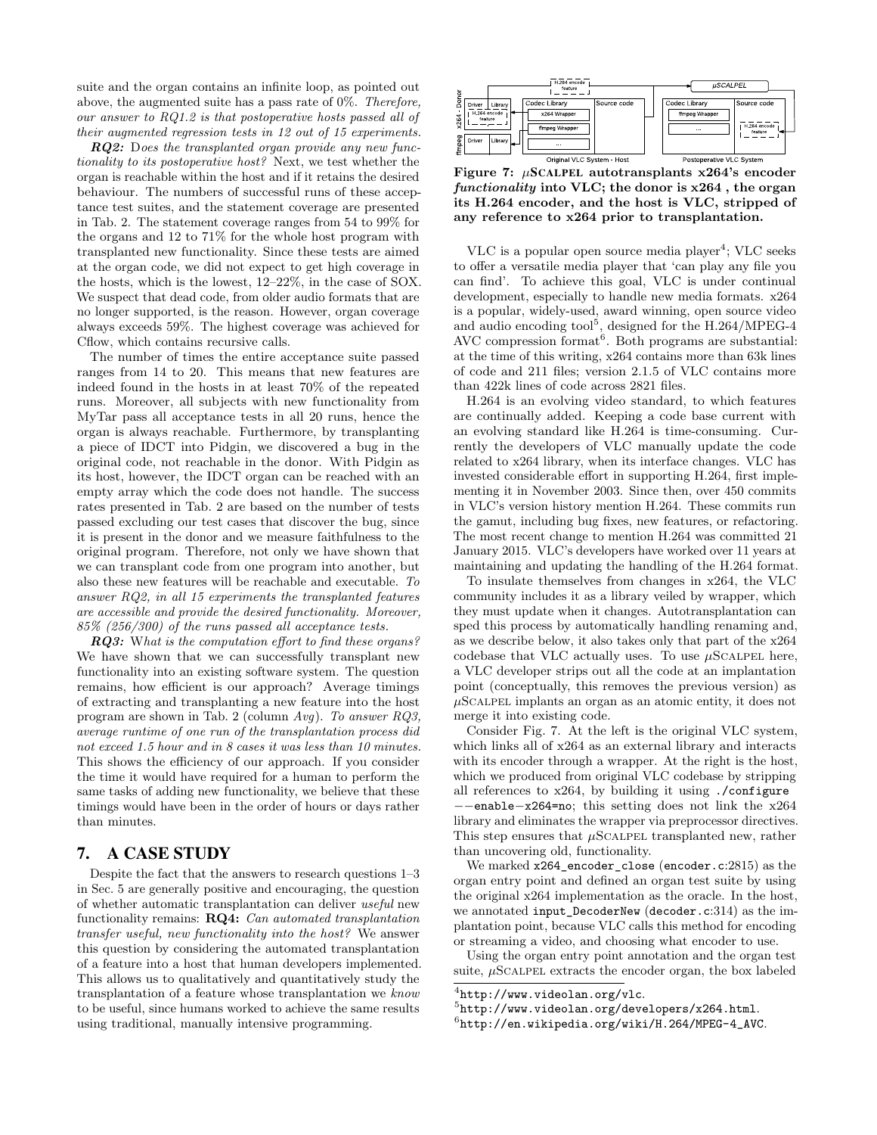suite and the organ contains an infinite loop, as pointed out above, the augmented suite has a pass rate of 0%. Therefore, our answer to RQ1.2 is that postoperative hosts passed all of their augmented regression tests in 12 out of 15 experiments.

**RQ2:** Does the transplanted organ provide any new functionality to its postoperative host? Next, we test whether the organ is reachable within the host and if it retains the desired behaviour. The numbers of successful runs of these acceptance test suites, and the statement coverage are presented in [Tab. 2.](#page-6-1) The statement coverage ranges from 54 to 99% for the organs and 12 to 71% for the whole host program with transplanted new functionality. Since these tests are aimed at the organ code, we did not expect to get high coverage in the hosts, which is the lowest, 12–22%, in the case of SOX. We suspect that dead code, from older audio formats that are no longer supported, is the reason. However, organ coverage always exceeds 59%. The highest coverage was achieved for Cflow, which contains recursive calls.

The number of times the entire acceptance suite passed ranges from 14 to 20. This means that new features are indeed found in the hosts in at least 70% of the repeated runs. Moreover, all subjects with new functionality from MyTar pass all acceptance tests in all 20 runs, hence the organ is always reachable. Furthermore, by transplanting a piece of IDCT into Pidgin, we discovered a bug in the original code, not reachable in the donor. With Pidgin as its host, however, the IDCT organ can be reached with an empty array which the code does not handle. The success rates presented in [Tab. 2](#page-6-1) are based on the number of tests passed excluding our test cases that discover the bug, since it is present in the donor and we measure faithfulness to the original program. Therefore, not only we have shown that we can transplant code from one program into another, but also these new features will be reachable and executable. To answer RQ2, in all 15 experiments the transplanted features are accessible and provide the desired functionality. Moreover, 85% (256/300) of the runs passed all acceptance tests.

**RQ3:** What is the computation effort to find these organs? We have shown that we can successfully transplant new functionality into an existing software system. The question remains, how efficient is our approach? Average timings of extracting and transplanting a new feature into the host program are shown in [Tab. 2](#page-6-1) (column Avg). To answer RQ3, average runtime of one run of the transplantation process did not exceed 1.5 hour and in 8 cases it was less than 10 minutes. This shows the efficiency of our approach. If you consider the time it would have required for a human to perform the same tasks of adding new functionality, we believe that these timings would have been in the order of hours or days rather than minutes.

## <span id="page-7-0"></span>7. A CASE STUDY

Despite the fact that the answers to research questions 1–3 in [Sec. 5](#page-4-0) are generally positive and encouraging, the question of whether automatic transplantation can deliver useful new functionality remains: RQ4: Can automated transplantation transfer useful, new functionality into the host? We answer this question by considering the automated transplantation of a feature into a host that human developers implemented. This allows us to qualitatively and quantitatively study the transplantation of a feature whose transplantation we know to be useful, since humans worked to achieve the same results using traditional, manually intensive programming.

<span id="page-7-4"></span>

Figure 7:  $\mu$ SCALPEL autotransplants x264's encoder functionality into VLC; the donor is x264 , the organ its H.264 encoder, and the host is VLC, stripped of any reference to x264 prior to transplantation.

VLC is a popular open source media player<sup>[4](#page-7-1)</sup>; VLC seeks to offer a versatile media player that 'can play any file you can find'. To achieve this goal, VLC is under continual development, especially to handle new media formats. x264 is a popular, widely-used, award winning, open source video and audio encoding  $\text{tool}^5$  $\text{tool}^5$ , designed for the H.264/MPEG-4 AVC compression format<sup>[6](#page-7-3)</sup>. Both programs are substantial: at the time of this writing, x264 contains more than 63k lines of code and 211 files; version 2.1.5 of VLC contains more than 422k lines of code across 2821 files.

H.264 is an evolving video standard, to which features are continually added. Keeping a code base current with an evolving standard like H.264 is time-consuming. Currently the developers of VLC manually update the code related to x264 library, when its interface changes. VLC has invested considerable effort in supporting H.264, first implementing it in November 2003. Since then, over 450 commits in VLC's version history mention H.264. These commits run the gamut, including bug fixes, new features, or refactoring. The most recent change to mention H.264 was committed 21 January 2015. VLC's developers have worked over 11 years at maintaining and updating the handling of the H.264 format.

To insulate themselves from changes in x264, the VLC community includes it as a library veiled by wrapper, which they must update when it changes. Autotransplantation can sped this process by automatically handling renaming and, as we describe below, it also takes only that part of the x264 codebase that VLC actually uses. To use  $\mu$ SCALPEL here, a VLC developer strips out all the code at an implantation point (conceptually, this removes the previous version) as  $\mu$ SCALPEL implants an organ as an atomic entity, it does not merge it into existing code.

Consider [Fig. 7.](#page-7-4) At the left is the original VLC system, which links all of x264 as an external library and interacts with its encoder through a wrapper. At the right is the host, which we produced from original VLC codebase by stripping all references to  $x264$ , by building it using ./configure −−enable−x264=no; this setting does not link the x264 library and eliminates the wrapper via preprocessor directives. This step ensures that  $\mu$ SCALPEL transplanted new, rather than uncovering old, functionality.

We marked x264\_encoder\_close (encoder.c:2815) as the organ entry point and defined an organ test suite by using the original x264 implementation as the oracle. In the host, we annotated input\_DecoderNew (decoder.c:314) as the implantation point, because VLC calls this method for encoding or streaming a video, and choosing what encoder to use.

Using the organ entry point annotation and the organ test suite,  $\mu$ SCALPEL extracts the encoder organ, the box labeled

<span id="page-7-1"></span> $^4$ <http://www.videolan.org/vlc>.

<span id="page-7-2"></span><sup>5</sup> <http://www.videolan.org/developers/x264.html>.

<span id="page-7-3"></span> $^6$ [http://en.wikipedia.org/wiki/H.264/MPEG-4\\_AVC](http://en.wikipedia.org/wiki/H.264/MPEG-4_AVC).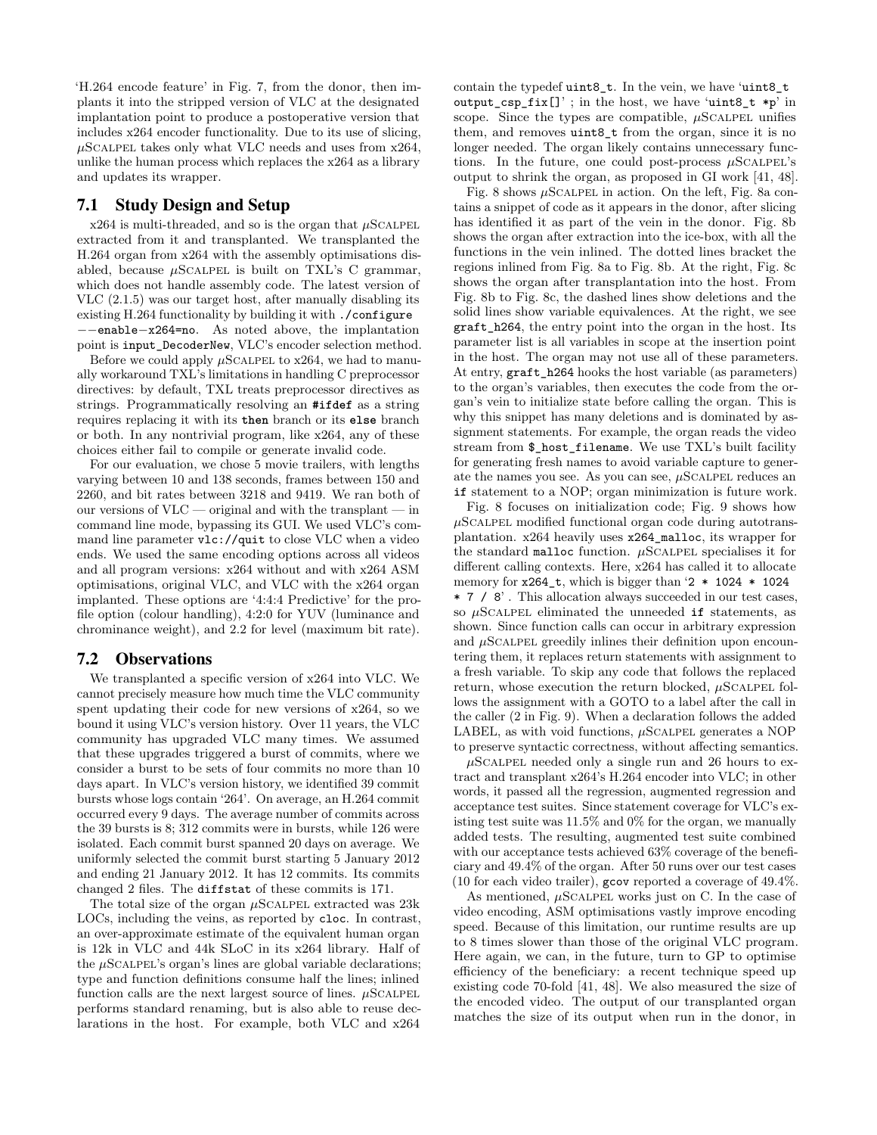'H.264 encode feature' in [Fig. 7,](#page-7-4) from the donor, then implants it into the stripped version of VLC at the designated implantation point to produce a postoperative version that includes x264 encoder functionality. Due to its use of slicing,  $\mu$ SCALPEL takes only what VLC needs and uses from x264, unlike the human process which replaces the x264 as a library and updates its wrapper.

## 7.1 Study Design and Setup

x264 is multi-threaded, and so is the organ that  $\mu\text{SCALPEL}$ extracted from it and transplanted. We transplanted the H.264 organ from x264 with the assembly optimisations disabled, because  $\mu$ SCALPEL is built on TXL's C grammar, which does not handle assembly code. The latest version of VLC (2.1.5) was our target host, after manually disabling its existing H.264 functionality by building it with ./configure −−enable−x264=no. As noted above, the implantation point is input\_DecoderNew, VLC's encoder selection method.

Before we could apply  $\mu$ SCALPEL to x264, we had to manually workaround TXL's limitations in handling C preprocessor directives: by default, TXL treats preprocessor directives as strings. Programmatically resolving an **#ifdef** as a string requires replacing it with its **then** branch or its **else** branch or both. In any nontrivial program, like x264, any of these choices either fail to compile or generate invalid code.

For our evaluation, we chose 5 movie trailers, with lengths varying between 10 and 138 seconds, frames between 150 and 2260, and bit rates between 3218 and 9419. We ran both of our versions of VLC — original and with the transplant — in command line mode, bypassing its GUI. We used VLC's command line parameter vlc://quit to close VLC when a video ends. We used the same encoding options across all videos and all program versions: x264 without and with x264 ASM optimisations, original VLC, and VLC with the x264 organ implanted. These options are '4:4:4 Predictive' for the profile option (colour handling), 4:2:0 for YUV (luminance and chrominance weight), and 2.2 for level (maximum bit rate).

#### 7.2 Observations

We transplanted a specific version of x264 into VLC. We cannot precisely measure how much time the VLC community spent updating their code for new versions of x264, so we bound it using VLC's version history. Over 11 years, the VLC community has upgraded VLC many times. We assumed that these upgrades triggered a burst of commits, where we consider a burst to be sets of four commits no more than 10 days apart. In VLC's version history, we identified 39 commit bursts whose logs contain '264'. On average, an H.264 commit occurred every 9 days. The average number of commits across the 39 bursts is 8; 312 commits were in bursts, while 126 were isolated. Each commit burst spanned 20 days on average. We uniformly selected the commit burst starting 5 January 2012 and ending 21 January 2012. It has 12 commits. Its commits changed 2 files. The diffstat of these commits is 171.

The total size of the organ  $\mu$ SCALPEL extracted was 23k LOCs, including the veins, as reported by cloc. In contrast, an over-approximate estimate of the equivalent human organ is 12k in VLC and 44k SLoC in its x264 library. Half of the  $\mu$ SCALPEL's organ's lines are global variable declarations; type and function definitions consume half the lines; inlined function calls are the next largest source of lines.  $\mu$ SCALPEL performs standard renaming, but is also able to reuse declarations in the host. For example, both VLC and x264

contain the typedef uint8\_t. In the vein, we have 'uint8\_t output\_csp\_fix[]' ; in the host, we have 'uint8\_t ∗p' in scope. Since the types are compatible,  $\mu$ SCALPEL unifies them, and removes uint8\_t from the organ, since it is no longer needed. The organ likely contains unnecessary functions. In the future, one could post-process  $\mu$ SCALPEL's output to shrink the organ, as proposed in GI work [\[41,](#page-11-11) [48\]](#page-11-12).

[Fig. 8](#page-9-0) shows  $\mu$ SCALPEL in action. On the left, [Fig. 8a](#page-9-0) contains a snippet of code as it appears in the donor, after slicing has identified it as part of the vein in the donor. [Fig. 8b](#page-9-0) shows the organ after extraction into the ice-box, with all the functions in the vein inlined. The dotted lines bracket the regions inlined from [Fig. 8a](#page-9-0) to [Fig. 8b](#page-9-0). At the right, [Fig. 8c](#page-9-0) shows the organ after transplantation into the host. From [Fig. 8b](#page-9-0) to [Fig. 8c](#page-9-0), the dashed lines show deletions and the solid lines show variable equivalences. At the right, we see graft\_h264, the entry point into the organ in the host. Its parameter list is all variables in scope at the insertion point in the host. The organ may not use all of these parameters. At entry, graft\_h264 hooks the host variable (as parameters) to the organ's variables, then executes the code from the organ's vein to initialize state before calling the organ. This is why this snippet has many deletions and is dominated by assignment statements. For example, the organ reads the video stream from \$\_host\_filename. We use TXL's built facility for generating fresh names to avoid variable capture to generate the names you see. As you can see,  $\mu$ SCALPEL reduces an **if** statement to a NOP; organ minimization is future work.

[Fig. 8](#page-9-0) focuses on initialization code; [Fig. 9](#page-9-0) shows how  $\mu$ SCALPEL modified functional organ code during autotransplantation. x264 heavily uses x264\_malloc, its wrapper for the standard malloc function.  $\mu$ SCALPEL specialises it for different calling contexts. Here, x264 has called it to allocate memory for x264\_t, which is bigger than '2 ∗ 1024 ∗ 1024 ∗ 7 / 8' . This allocation always succeeded in our test cases, so  $\mu$ SCALPEL eliminated the unneeded **if** statements, as shown. Since function calls can occur in arbitrary expression and  $\mu$ SCALPEL greedily inlines their definition upon encountering them, it replaces return statements with assignment to a fresh variable. To skip any code that follows the replaced return, whose execution the return blocked,  $\mu$ SCALPEL follows the assignment with a GOTO to a label after the call in the caller (2 in [Fig. 9\)](#page-9-0). When a declaration follows the added LABEL, as with void functions,  $\mu$ SCALPEL generates a NOP to preserve syntactic correctness, without affecting semantics.

 $\mu$ SCALPEL needed only a single run and 26 hours to extract and transplant x264's H.264 encoder into VLC; in other words, it passed all the regression, augmented regression and acceptance test suites. Since statement coverage for VLC's existing test suite was 11.5% and 0% for the organ, we manually added tests. The resulting, augmented test suite combined with our acceptance tests achieved 63% coverage of the beneficiary and 49.4% of the organ. After 50 runs over our test cases (10 for each video trailer), gcov reported a coverage of 49.4%.

As mentioned,  $\mu$ SCALPEL works just on C. In the case of video encoding, ASM optimisations vastly improve encoding speed. Because of this limitation, our runtime results are up to 8 times slower than those of the original VLC program. Here again, we can, in the future, turn to GP to optimise efficiency of the beneficiary: a recent technique speed up existing code 70-fold [\[41,](#page-11-11) [48\]](#page-11-12). We also measured the size of the encoded video. The output of our transplanted organ matches the size of its output when run in the donor, in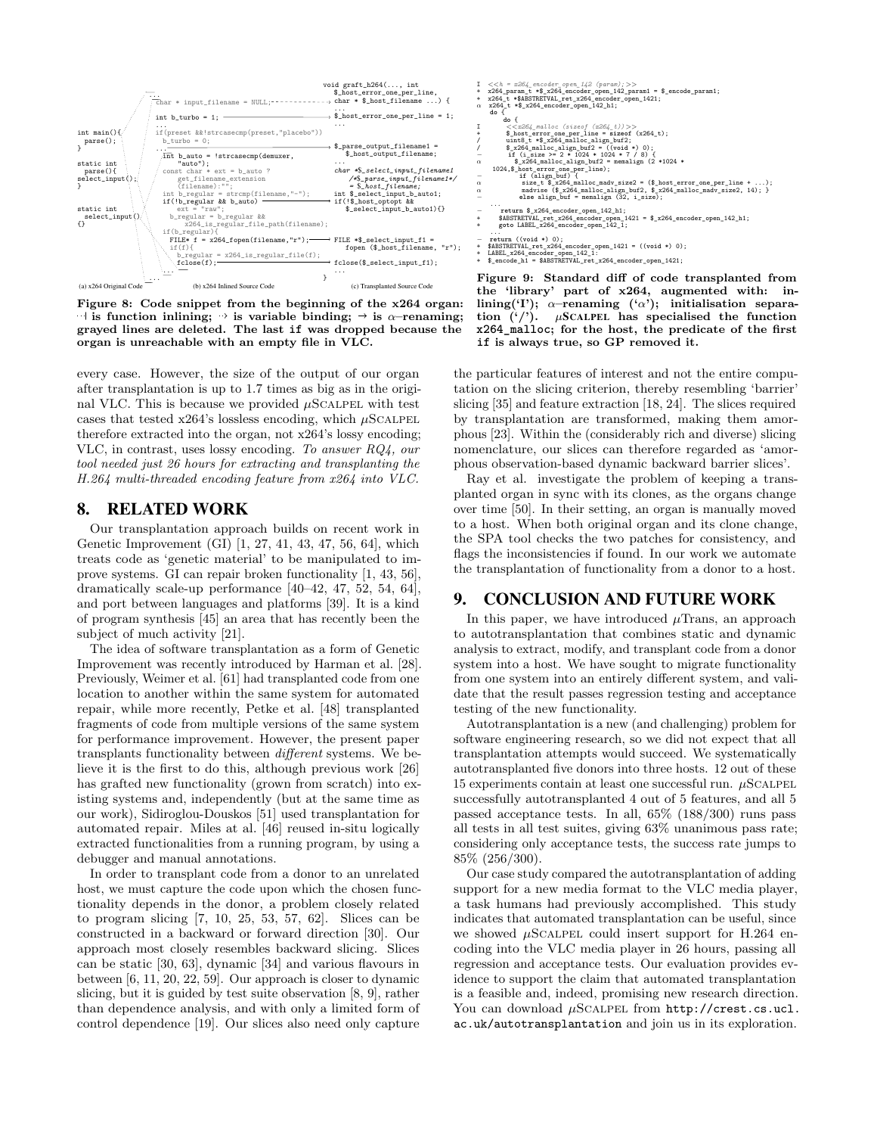<span id="page-9-0"></span>

Figure 8: Code snippet from the beginning of the x264 organ:  $\exists$  is function inlining;  $\rightarrow$  is variable binding;  $\rightarrow$  is  $\alpha$ –renaming; grayed lines are deleted. The last **if** was dropped because the organ is unreachable with an empty file in VLC.

every case. However, the size of the output of our organ after transplantation is up to 1.7 times as big as in the original VLC. This is because we provided  $\mu$ SCALPEL with test cases that tested x264's lossless encoding, which  $\mu$ SCALPEL therefore extracted into the organ, not x264's lossy encoding; VLC, in contrast, uses lossy encoding. To answer RQ4, our tool needed just 26 hours for extracting and transplanting the H.264 multi-threaded encoding feature from x264 into VLC.

## 8. RELATED WORK

Our transplantation approach builds on recent work in Genetic Improvement (GI) [\[1,](#page-10-13) [27,](#page-10-14) [41,](#page-11-11) [43,](#page-11-13) [47,](#page-11-14) [56,](#page-12-3) [64\]](#page-12-4), which treats code as 'genetic material' to be manipulated to improve systems. GI can repair broken functionality [\[1,](#page-10-13) [43,](#page-11-13) [56\]](#page-12-3), dramatically scale-up performance [\[40](#page-11-15)[–42,](#page-11-16) [47,](#page-11-14) [52,](#page-11-17) [54,](#page-12-5) [64\]](#page-12-4), and port between languages and platforms [\[39\]](#page-11-18). It is a kind of program synthesis [\[45\]](#page-11-19) an area that has recently been the subject of much activity [\[21\]](#page-10-15).

The idea of software transplantation as a form of Genetic Improvement was recently introduced by Harman et al. [\[28\]](#page-11-7). Previously, Weimer et al. [\[61\]](#page-12-6) had transplanted code from one location to another within the same system for automated repair, while more recently, Petke et al. [\[48\]](#page-11-12) transplanted fragments of code from multiple versions of the same system for performance improvement. However, the present paper transplants functionality between different systems. We believe it is the first to do this, although previous work [\[26\]](#page-10-16) has grafted new functionality (grown from scratch) into existing systems and, independently (but at the same time as our work), Sidiroglou-Douskos [\[51\]](#page-11-20) used transplantation for automated repair. Miles at al. [\[46\]](#page-11-21) reused in-situ logically extracted functionalities from a running program, by using a debugger and manual annotations.

In order to transplant code from a donor to an unrelated host, we must capture the code upon which the chosen functionality depends in the donor, a problem closely related to program slicing [\[7,](#page-10-17) [10,](#page-10-18) [25,](#page-10-19) [53,](#page-11-22) [57,](#page-12-7) [62\]](#page-12-8). Slices can be constructed in a backward or forward direction [\[30\]](#page-11-4). Our approach most closely resembles backward slicing. Slices can be static [\[30,](#page-11-4) [63\]](#page-12-9), dynamic [\[34\]](#page-11-23) and various flavours in between [\[6,](#page-10-20) [11,](#page-10-21) [20,](#page-10-22) [22,](#page-10-7) [59\]](#page-12-10). Our approach is closer to dynamic slicing, but it is guided by test suite observation [\[8,](#page-10-9) [9\]](#page-10-23), rather than dependence analysis, and with only a limited form of control dependence [\[19\]](#page-10-24). Our slices also need only capture

I <<h = x264\_encoder\_open\_142 (param); >><br>+ x264\_param\_t ∗\$\_x264\_encoder\_open\_142\_param1 = \$\_encode\_param1;<br>+ x264\_t ∗\$ABSTRETVAL\_ret\_x264\_encoder\_open\_1421;<br>α x264\_t ∗\$\_x264\_encoder\_open\_142\_h1; **do** { **do** { <sup>I</sup> <<*x264\_malloc (sizeof (x264\_t))* >> + \$\_host\_error\_one\_per\_line = **sizeof** (x264\_t); / uint8\_t ∗\$\_x264\_malloc\_align\_buf2; / \$\_x264\_malloc\_align\_buf2 = ((**void** ∗) 0); <sup>−</sup> **if** (i\_size >= 2 <sup>∗</sup> <sup>1024</sup> <sup>∗</sup> <sup>1024</sup> <sup>∗</sup> 7 / 8) { <sup>α</sup> \$\_x264\_malloc\_align\_buf2 = memalign (2 ∗1024 <sup>∗</sup> 1024,\$\_host\_error\_one\_per\_line); <sup>−</sup> **if** (align\_buf) { <sup>α</sup> size\_t \$\_x264\_malloc\_madv\_size2 = (\$\_host\_error\_one\_per\_line + ...); <sup>α</sup> madvise (\$\_x264\_malloc\_align\_buf2, \$\_x264\_malloc\_madv\_size2, 14); } <sup>−</sup> **else** align\_buf = memalign (32, i\_size); ...<br>- **return \$\_x264\_encoder\_open\_142\_h1;**<br>+ \$ABSTRETVAL\_ret\_x264\_encoder\_open\_1421 = \$\_x264\_encoder\_open\_142\_h1; + **goto** LABEL\_x264\_encoder\_open\_142\_1; ... <sup>−</sup> **return** ((**void** ∗) 0); + \$ABSTRETVAL\_ret\_x264\_encoder\_open\_1421 = ((**void** ∗) 0); + \$\_encoder\_open\_042\_1:<br>+ LABEL\_x264\_encoder\_open\_142\_1:<br>+ \$\_encode\_h1 = \$ABSTRETVAL\_ret\_x264\_encoder\_open\_1421; Figure 9: Standard diff of code transplanted from

the 'library' part of x264, augmented with: inlining('I');  $\alpha$ -renaming (' $\alpha$ '); initialisation separation  $('')$ .  $\mu$ SCALPEL has specialised the function **x264\_malloc**; for the host, the predicate of the first **if** is always true, so GP removed it.

the particular features of interest and not the entire computation on the slicing criterion, thereby resembling 'barrier' slicing [\[35\]](#page-11-24) and feature extraction [\[18,](#page-10-25) [24\]](#page-10-8). The slices required by transplantation are transformed, making them amorphous [\[23\]](#page-10-26). Within the (considerably rich and diverse) slicing nomenclature, our slices can therefore regarded as 'amorphous observation-based dynamic backward barrier slices'.

Ray et al. investigate the problem of keeping a transplanted organ in sync with its clones, as the organs change over time [\[50\]](#page-11-25). In their setting, an organ is manually moved to a host. When both original organ and its clone change, the SPA tool checks the two patches for consistency, and flags the inconsistencies if found. In our work we automate the transplantation of functionality from a donor to a host.

## 9. CONCLUSION AND FUTURE WORK

In this paper, we have introduced  $\mu$ Trans, an approach to autotransplantation that combines static and dynamic analysis to extract, modify, and transplant code from a donor system into a host. We have sought to migrate functionality from one system into an entirely different system, and validate that the result passes regression testing and acceptance testing of the new functionality.

Autotransplantation is a new (and challenging) problem for software engineering research, so we did not expect that all transplantation attempts would succeed. We systematically autotransplanted five donors into three hosts. 12 out of these 15 experiments contain at least one successful run.  $\mu$ SCALPEL successfully autotransplanted 4 out of 5 features, and all 5 passed acceptance tests. In all, 65% (188/300) runs pass all tests in all test suites, giving 63% unanimous pass rate; considering only acceptance tests, the success rate jumps to 85% (256/300).

Our case study compared the autotransplantation of adding support for a new media format to the VLC media player, a task humans had previously accomplished. This study indicates that automated transplantation can be useful, since we showed  $\mu$ SCALPEL could insert support for H.264 encoding into the VLC media player in 26 hours, passing all regression and acceptance tests. Our evaluation provides evidence to support the claim that automated transplantation is a feasible and, indeed, promising new research direction. You can download  $\mu$ SCALPEL from [http://crest.cs.ucl.](http://crest.cs.ucl.ac.uk/autotransplantation) [ac.uk/autotransplantation](http://crest.cs.ucl.ac.uk/autotransplantation) and join us in its exploration.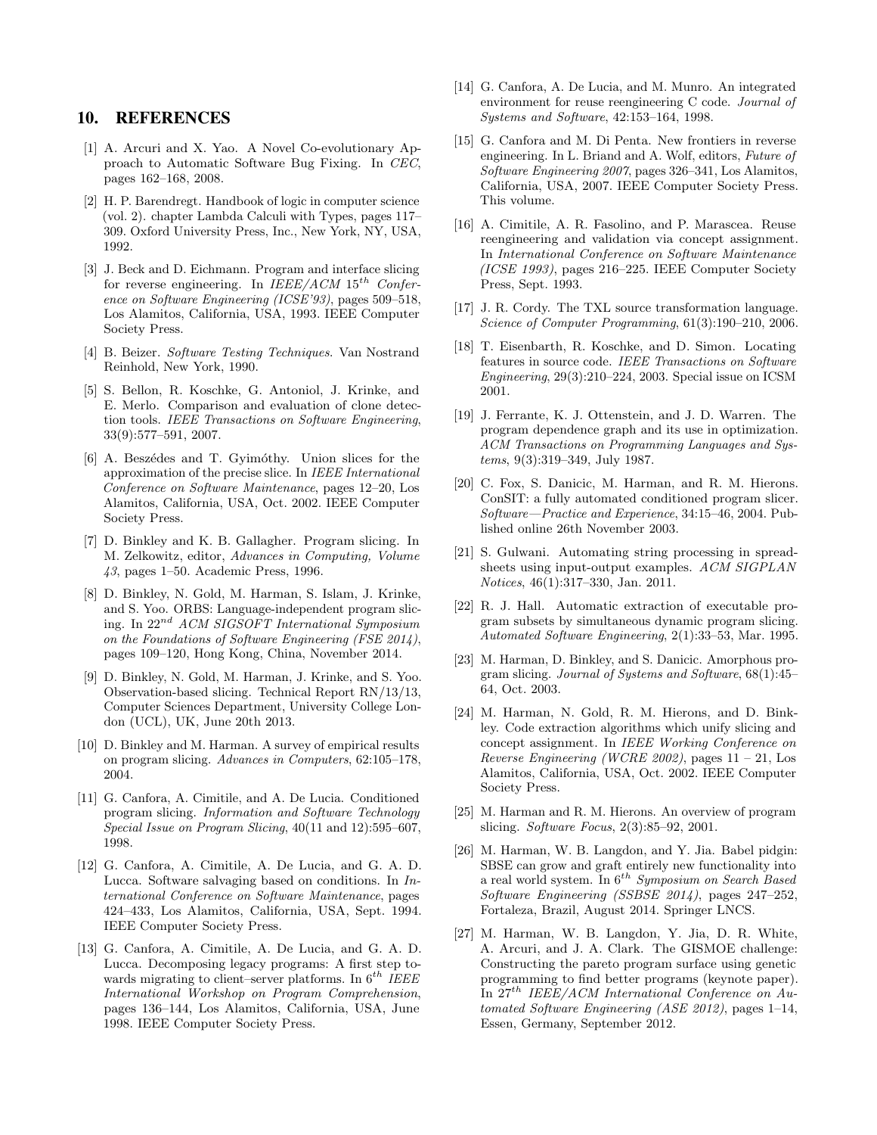## 10. REFERENCES

- <span id="page-10-13"></span>[1] A. Arcuri and X. Yao. A Novel Co-evolutionary Approach to Automatic Software Bug Fixing. In CEC, pages 162–168, 2008.
- <span id="page-10-10"></span>[2] H. P. Barendregt. Handbook of logic in computer science (vol. 2). chapter Lambda Calculi with Types, pages 117– 309. Oxford University Press, Inc., New York, NY, USA, 1992.
- <span id="page-10-6"></span>[3] J. Beck and D. Eichmann. Program and interface slicing for reverse engineering. In  $IEEE/ACM 15^{th}$  Conference on Software Engineering (ICSE'93), pages 509–518, Los Alamitos, California, USA, 1993. IEEE Computer Society Press.
- <span id="page-10-11"></span>[4] B. Beizer. Software Testing Techniques. Van Nostrand Reinhold, New York, 1990.
- <span id="page-10-1"></span>[5] S. Bellon, R. Koschke, G. Antoniol, J. Krinke, and E. Merlo. Comparison and evaluation of clone detection tools. IEEE Transactions on Software Engineering, 33(9):577–591, 2007.
- <span id="page-10-20"></span>[6] A. Beszédes and T. Gyimóthy. Union slices for the approximation of the precise slice. In IEEE International Conference on Software Maintenance, pages 12–20, Los Alamitos, California, USA, Oct. 2002. IEEE Computer Society Press.
- <span id="page-10-17"></span>[7] D. Binkley and K. B. Gallagher. Program slicing. In M. Zelkowitz, editor, Advances in Computing, Volume 43, pages 1–50. Academic Press, 1996.
- <span id="page-10-9"></span>[8] D. Binkley, N. Gold, M. Harman, S. Islam, J. Krinke, and S. Yoo. ORBS: Language-independent program slicing. In 22nd ACM SIGSOFT International Symposium on the Foundations of Software Engineering (FSE 2014), pages 109–120, Hong Kong, China, November 2014.
- <span id="page-10-23"></span>[9] D. Binkley, N. Gold, M. Harman, J. Krinke, and S. Yoo. Observation-based slicing. Technical Report RN/13/13, Computer Sciences Department, University College London (UCL), UK, June 20th 2013.
- <span id="page-10-18"></span>[10] D. Binkley and M. Harman. A survey of empirical results on program slicing. Advances in Computers, 62:105–178, 2004.
- <span id="page-10-21"></span>[11] G. Canfora, A. Cimitile, and A. De Lucia. Conditioned program slicing. Information and Software Technology Special Issue on Program Slicing, 40(11 and 12):595–607, 1998.
- <span id="page-10-2"></span>[12] G. Canfora, A. Cimitile, A. De Lucia, and G. A. D. Lucca. Software salvaging based on conditions. In International Conference on Software Maintenance, pages 424–433, Los Alamitos, California, USA, Sept. 1994. IEEE Computer Society Press.
- <span id="page-10-3"></span>[13] G. Canfora, A. Cimitile, A. De Lucia, and G. A. D. Lucca. Decomposing legacy programs: A first step towards migrating to client–server platforms. In  $6^{th}$  IEEE International Workshop on Program Comprehension, pages 136–144, Los Alamitos, California, USA, June 1998. IEEE Computer Society Press.
- <span id="page-10-4"></span>[14] G. Canfora, A. De Lucia, and M. Munro. An integrated environment for reuse reengineering C code. Journal of Systems and Software, 42:153–164, 1998.
- <span id="page-10-0"></span>[15] G. Canfora and M. Di Penta. New frontiers in reverse engineering. In L. Briand and A. Wolf, editors, Future of Software Engineering 2007, pages 326–341, Los Alamitos, California, USA, 2007. IEEE Computer Society Press. This volume.
- <span id="page-10-5"></span>[16] A. Cimitile, A. R. Fasolino, and P. Marascea. Reuse reengineering and validation via concept assignment. In International Conference on Software Maintenance (ICSE 1993), pages 216–225. IEEE Computer Society Press, Sept. 1993.
- <span id="page-10-12"></span>[17] J. R. Cordy. The TXL source transformation language. Science of Computer Programming, 61(3):190–210, 2006.
- <span id="page-10-25"></span>[18] T. Eisenbarth, R. Koschke, and D. Simon. Locating features in source code. IEEE Transactions on Software Engineering, 29(3):210–224, 2003. Special issue on ICSM 2001.
- <span id="page-10-24"></span>[19] J. Ferrante, K. J. Ottenstein, and J. D. Warren. The program dependence graph and its use in optimization. ACM Transactions on Programming Languages and Systems, 9(3):319–349, July 1987.
- <span id="page-10-22"></span>[20] C. Fox, S. Danicic, M. Harman, and R. M. Hierons. ConSIT: a fully automated conditioned program slicer. Software—Practice and Experience, 34:15–46, 2004. Published online 26th November 2003.
- <span id="page-10-15"></span>[21] S. Gulwani. Automating string processing in spreadsheets using input-output examples. ACM SIGPLAN Notices, 46(1):317–330, Jan. 2011.
- <span id="page-10-7"></span>[22] R. J. Hall. Automatic extraction of executable program subsets by simultaneous dynamic program slicing. Automated Software Engineering, 2(1):33–53, Mar. 1995.
- <span id="page-10-26"></span>[23] M. Harman, D. Binkley, and S. Danicic. Amorphous program slicing. Journal of Systems and Software, 68(1):45– 64, Oct. 2003.
- <span id="page-10-8"></span>[24] M. Harman, N. Gold, R. M. Hierons, and D. Binkley. Code extraction algorithms which unify slicing and concept assignment. In IEEE Working Conference on Reverse Engineering (WCRE 2002), pages  $11 - 21$ , Los Alamitos, California, USA, Oct. 2002. IEEE Computer Society Press.
- <span id="page-10-19"></span>[25] M. Harman and R. M. Hierons. An overview of program slicing. Software Focus, 2(3):85–92, 2001.
- <span id="page-10-16"></span>[26] M. Harman, W. B. Langdon, and Y. Jia. Babel pidgin: SBSE can grow and graft entirely new functionality into a real world system. In  $6^{th}$  Symposium on Search Based Software Engineering (SSBSE 2014), pages 247–252, Fortaleza, Brazil, August 2014. Springer LNCS.
- <span id="page-10-14"></span>[27] M. Harman, W. B. Langdon, Y. Jia, D. R. White, A. Arcuri, and J. A. Clark. The GISMOE challenge: Constructing the pareto program surface using genetic programming to find better programs (keynote paper). In  $27<sup>th</sup> IEEE/ACM International Conference on Au$ tomated Software Engineering (ASE 2012), pages 1–14, Essen, Germany, September 2012.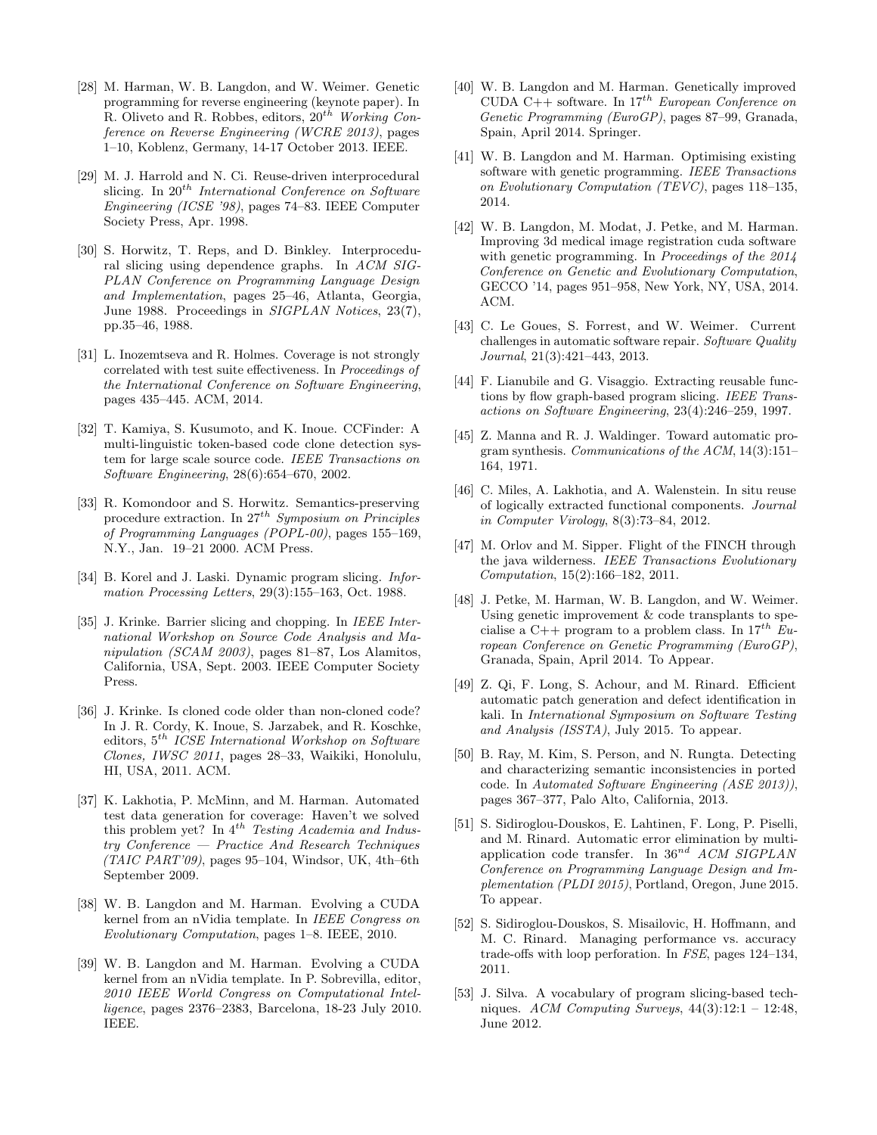- <span id="page-11-7"></span>[28] M. Harman, W. B. Langdon, and W. Weimer. Genetic programming for reverse engineering (keynote paper). In R. Oliveto and R. Robbes, editors,  $20^{th}$  Working Conference on Reverse Engineering (WCRE 2013), pages 1–10, Koblenz, Germany, 14-17 October 2013. IEEE.
- <span id="page-11-3"></span>[29] M. J. Harrold and N. Ci. Reuse-driven interprocedural slicing. In  $20^{th}$  International Conference on Software Engineering (ICSE '98), pages 74–83. IEEE Computer Society Press, Apr. 1998.
- <span id="page-11-4"></span>[30] S. Horwitz, T. Reps, and D. Binkley. Interprocedural slicing using dependence graphs. In ACM SIG-PLAN Conference on Programming Language Design and Implementation, pages 25–46, Atlanta, Georgia, June 1988. Proceedings in SIGPLAN Notices, 23(7), pp.35–46, 1988.
- <span id="page-11-10"></span>[31] L. Inozemtseva and R. Holmes. Coverage is not strongly correlated with test suite effectiveness. In Proceedings of the International Conference on Software Engineering, pages 435–445. ACM, 2014.
- <span id="page-11-0"></span>[32] T. Kamiya, S. Kusumoto, and K. Inoue. CCFinder: A multi-linguistic token-based code clone detection system for large scale source code. IEEE Transactions on Software Engineering, 28(6):654–670, 2002.
- <span id="page-11-5"></span>[33] R. Komondoor and S. Horwitz. Semantics-preserving procedure extraction. In  $27^{th}$  Symposium on Principles of Programming Languages (POPL-00), pages 155–169, N.Y., Jan. 19–21 2000. ACM Press.
- <span id="page-11-23"></span>[34] B. Korel and J. Laski. Dynamic program slicing. *Infor*mation Processing Letters, 29(3):155–163, Oct. 1988.
- <span id="page-11-24"></span>[35] J. Krinke. Barrier slicing and chopping. In *IEEE Inter*national Workshop on Source Code Analysis and Manipulation (SCAM 2003), pages 81–87, Los Alamitos, California, USA, Sept. 2003. IEEE Computer Society Press.
- <span id="page-11-1"></span>[36] J. Krinke. Is cloned code older than non-cloned code? In J. R. Cordy, K. Inoue, S. Jarzabek, and R. Koschke, editors,  $5^{th}\$  ICSE International Workshop on Software Clones, IWSC 2011, pages 28–33, Waikiki, Honolulu, HI, USA, 2011. ACM.
- <span id="page-11-9"></span>[37] K. Lakhotia, P. McMinn, and M. Harman. Automated test data generation for coverage: Haven't we solved this problem yet? In  $4^{th}$  Testing Academia and Industry Conference — Practice And Research Techniques  $(TAIC \, PART'09)$ , pages 95–104, Windsor, UK, 4th–6th September 2009.
- <span id="page-11-2"></span>[38] W. B. Langdon and M. Harman. Evolving a CUDA kernel from an nVidia template. In IEEE Congress on Evolutionary Computation, pages 1–8. IEEE, 2010.
- <span id="page-11-18"></span>[39] W. B. Langdon and M. Harman. Evolving a CUDA kernel from an nVidia template. In P. Sobrevilla, editor, 2010 IEEE World Congress on Computational Intelligence, pages 2376–2383, Barcelona, 18-23 July 2010. IEEE.
- <span id="page-11-15"></span>[40] W. B. Langdon and M. Harman. Genetically improved CUDA C++ software. In  $17^{th}$  European Conference on Genetic Programming (EuroGP), pages 87–99, Granada, Spain, April 2014. Springer.
- <span id="page-11-11"></span>[41] W. B. Langdon and M. Harman. Optimising existing software with genetic programming. IEEE Transactions on Evolutionary Computation (TEVC), pages 118–135, 2014.
- <span id="page-11-16"></span>[42] W. B. Langdon, M. Modat, J. Petke, and M. Harman. Improving 3d medical image registration cuda software with genetic programming. In Proceedings of the 2014 Conference on Genetic and Evolutionary Computation, GECCO '14, pages 951–958, New York, NY, USA, 2014. ACM.
- <span id="page-11-13"></span>[43] C. Le Goues, S. Forrest, and W. Weimer. Current challenges in automatic software repair. Software Quality Journal, 21(3):421–443, 2013.
- <span id="page-11-6"></span>[44] F. Lianubile and G. Visaggio. Extracting reusable functions by flow graph-based program slicing. IEEE Transactions on Software Engineering, 23(4):246–259, 1997.
- <span id="page-11-19"></span>[45] Z. Manna and R. J. Waldinger. Toward automatic program synthesis. Communications of the ACM, 14(3):151– 164, 1971.
- <span id="page-11-21"></span>[46] C. Miles, A. Lakhotia, and A. Walenstein. In situ reuse of logically extracted functional components. Journal in Computer Virology, 8(3):73–84, 2012.
- <span id="page-11-14"></span>[47] M. Orlov and M. Sipper. Flight of the FINCH through the java wilderness. IEEE Transactions Evolutionary Computation, 15(2):166–182, 2011.
- <span id="page-11-12"></span>[48] J. Petke, M. Harman, W. B. Langdon, and W. Weimer. Using genetic improvement & code transplants to specialise a C++ program to a problem class. In  $17^{th}$  European Conference on Genetic Programming (EuroGP), Granada, Spain, April 2014. To Appear.
- <span id="page-11-8"></span>[49] Z. Qi, F. Long, S. Achour, and M. Rinard. Efficient automatic patch generation and defect identification in kali. In International Symposium on Software Testing and Analysis (ISSTA), July 2015. To appear.
- <span id="page-11-25"></span>[50] B. Ray, M. Kim, S. Person, and N. Rungta. Detecting and characterizing semantic inconsistencies in ported code. In Automated Software Engineering (ASE 2013)), pages 367–377, Palo Alto, California, 2013.
- <span id="page-11-20"></span>[51] S. Sidiroglou-Douskos, E. Lahtinen, F. Long, P. Piselli, and M. Rinard. Automatic error elimination by multiapplication code transfer. In  $36^{nd}$  ACM SIGPLAN Conference on Programming Language Design and Implementation (PLDI 2015), Portland, Oregon, June 2015. To appear.
- <span id="page-11-17"></span>[52] S. Sidiroglou-Douskos, S. Misailovic, H. Hoffmann, and M. C. Rinard. Managing performance vs. accuracy trade-offs with loop perforation. In FSE, pages 124–134, 2011.
- <span id="page-11-22"></span>[53] J. Silva. A vocabulary of program slicing-based techniques. ACM Computing Surveys,  $44(3):12:1 - 12:48$ , June 2012.